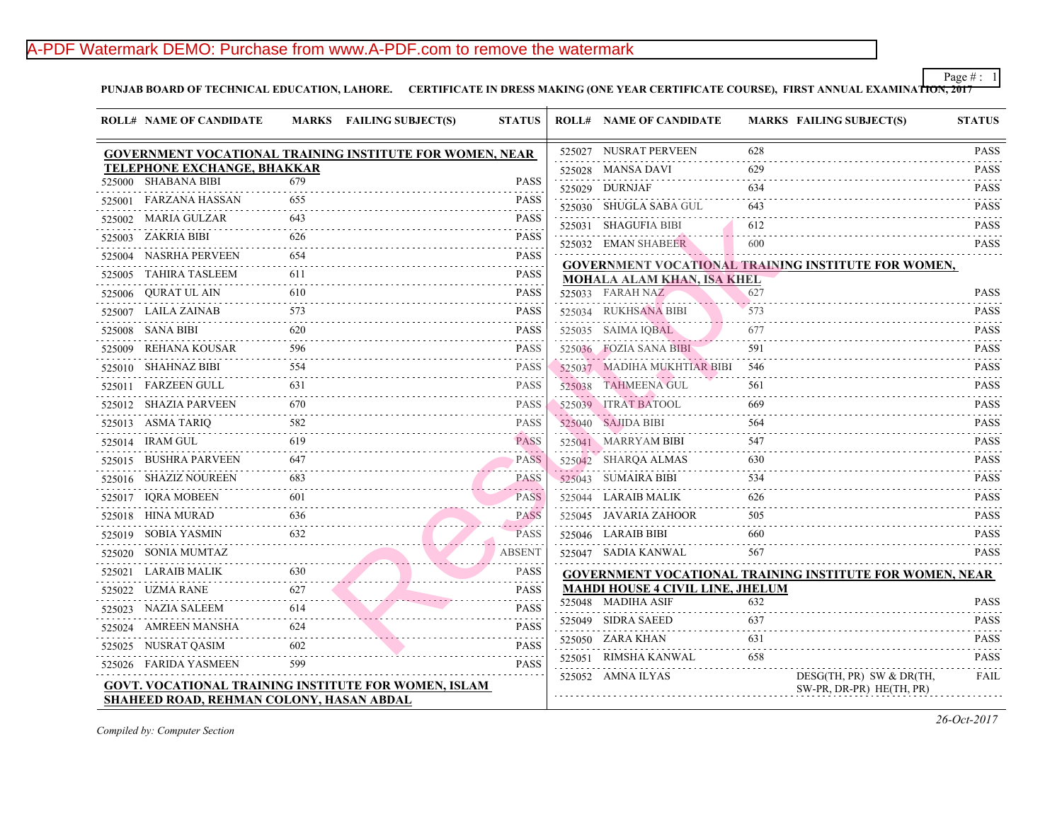# A-PDF Watermark DEMO: Purchase from www.A-PDF.com to remove the watermark

PUNJAB BOARD OF TECHNICAL EDUCATION, LAHORE. CERTIFICATE IN DRESS MAKING (ONE YEAR CERTIFICATE COURSE), FIRST A

| <b>ROLL# NAME OF CANDIDATE</b>                                  |     | MARKS FAILING SUBJECT(S) | <b>STATUS</b>                                                                                                                                       | <b>ROLL# NAME OF CANDIDATE</b>           | <b>MARKS FAIL</b>   |
|-----------------------------------------------------------------|-----|--------------------------|-----------------------------------------------------------------------------------------------------------------------------------------------------|------------------------------------------|---------------------|
| <b>GOVERNMENT VOCATIONAL TRAINING INSTITUTE FOR WOMEN, NEAR</b> |     |                          |                                                                                                                                                     | 525027 NUSRAT PERVEEN                    | 628                 |
| <b>TELEPHONE EXCHANGE, BHAKKAR</b>                              |     |                          |                                                                                                                                                     | 525028 MANSA DAVI                        | 629                 |
| 525000 SHABANA BIBI                                             | 679 |                          | <b>PASS</b>                                                                                                                                         | 525029 DURNJAF                           | 634                 |
| 525001 FARZANA HASSAN                                           | 655 |                          | <b>PASS</b>                                                                                                                                         | 525030 SHUGLA SABA GUL                   | 643                 |
| 525002 MARIA GULZAR                                             | 643 |                          | <b>PASS</b>                                                                                                                                         | 525031 SHAGUFIA BIBI                     | 612                 |
| 525003 ZAKRIA BIBI                                              | 626 |                          | <b>PASS</b>                                                                                                                                         | 525032 EMAN SHABEER                      | 600                 |
| 525004 NASRHA PERVEEN                                           | 654 |                          | <b>PASS</b><br>.                                                                                                                                    | <b>GOVERNMENT VOCATIONAL TRAINING IN</b> |                     |
| 525005 TAHIRA TASLEEM                                           | 611 |                          | <b>PASS</b>                                                                                                                                         | <b>MOHALA ALAM KHAN, ISA KHEL</b>        |                     |
| 525006 QURAT UL AIN<br>.                                        | 610 |                          | <b>PASS</b>                                                                                                                                         | 525033 FARAH NAZ                         | 627                 |
| 525007 LAILA ZAINAB                                             | 573 |                          | <b>PASS</b>                                                                                                                                         | 525034 RUKHSANA BIBI                     | 573                 |
| 525008 SANA BIBI                                                | 620 |                          | <b>PASS</b>                                                                                                                                         | 525035 SAIMA IQBAL                       | 677                 |
| 525009 REHANA KOUSAR                                            | 596 |                          | <b>PASS</b>                                                                                                                                         | 525036 FOZIA SANA BIBI                   | 591                 |
| 525010 SHAHNAZ BIBI                                             | 554 |                          | <b>PASS</b>                                                                                                                                         | 525037 MADIHA MUKHTIAR BIBI              | 546                 |
| 525011 FARZEEN GULL                                             | 631 |                          | <b>PASS</b>                                                                                                                                         | 525038 TAHMEENA GUL                      | 561                 |
| 525012 SHAZIA PARVEEN<br><u>.</u>                               | 670 |                          | <b>PASS</b>                                                                                                                                         | 525039 ITRAT BATOOL                      | 669                 |
| 525013 ASMA TARIQ                                               |     |                          | <b>PASS</b>                                                                                                                                         | 525040 SAJIDA BIBI                       | 564                 |
| 525014 IRAM GUL                                                 | 619 |                          | <b>PASS</b>                                                                                                                                         | 525041 MARRYAM BIBI                      | 547                 |
| 525015 BUSHRA PARVEEN                                           | 647 |                          | <b>PASS</b>                                                                                                                                         | 525042 SHARQA ALMAS                      | 630                 |
| 525016 SHAZIZ NOUREEN                                           | 683 |                          | <b>PASS</b>                                                                                                                                         | 525043 SUMAIRA BIBI                      | 534                 |
| 525017 IQRA MOBEEN                                              | 601 |                          | $\mathcal{L}^{\mathcal{A}}\left( \mathcal{A}^{\mathcal{A}}\right) =\mathcal{L}^{\mathcal{A}}\left( \mathcal{A}^{\mathcal{A}}\right)$<br><b>PASS</b> | 525044 LARAIB MALIK                      | 626                 |
| 525018 HINA MURAD                                               | 636 |                          | <b>PASS</b>                                                                                                                                         | 525045 JAVARIA ZAHOOR                    | 505                 |
| 525019 SOBIA YASMIN                                             | 632 |                          | <b>PASS</b>                                                                                                                                         | 525046 LARAIB BIBI                       | 660                 |
| 525020 SONIA MUMTAZ                                             |     |                          | <b>ABSENT</b>                                                                                                                                       | 525047 SADIA KANWAL                      | 567                 |
| 525021 LARAIB MALIK                                             | 630 |                          | <b>PASS</b>                                                                                                                                         | <b>GOVERNMENT VOCATIONAL TRAINING IN</b> |                     |
| 525022 UZMA RANE                                                | 627 |                          | <b>PASS</b>                                                                                                                                         | <b>MAHDI HOUSE 4 CIVIL LINE, JHELUM</b>  |                     |
| 525023 NAZIA SALEEM                                             | 614 |                          | $-1 - 1 - 1 - 1$<br><b>PASS</b>                                                                                                                     | 525048 MADIHA ASIF                       | 632                 |
| 525024 AMREEN MANSHA                                            | 624 |                          | <b>PASS</b>                                                                                                                                         | 525049 SIDRA SAEED                       | 637                 |
| 525025 NUSRAT QASIM                                             | 602 |                          | <b>PASS</b>                                                                                                                                         | 525050 ZARA KHAN                         | 631                 |
| 525026 FARIDA YASMEEN                                           | 599 |                          | .<br><b>PASS</b>                                                                                                                                    | 525051 RIMSHA KANWAL                     | 658                 |
| <b>GOVT. VOCATIONAL TRAINING INSTITUTE FOR WOMEN, ISLAM</b>     |     |                          |                                                                                                                                                     | 525052 AMNA ILYAS                        | <b>DESC</b><br>SW-P |
| <b>SHAHEED ROAD, REHMAN COLONY, HASAN ABDAL</b>                 |     |                          |                                                                                                                                                     |                                          |                     |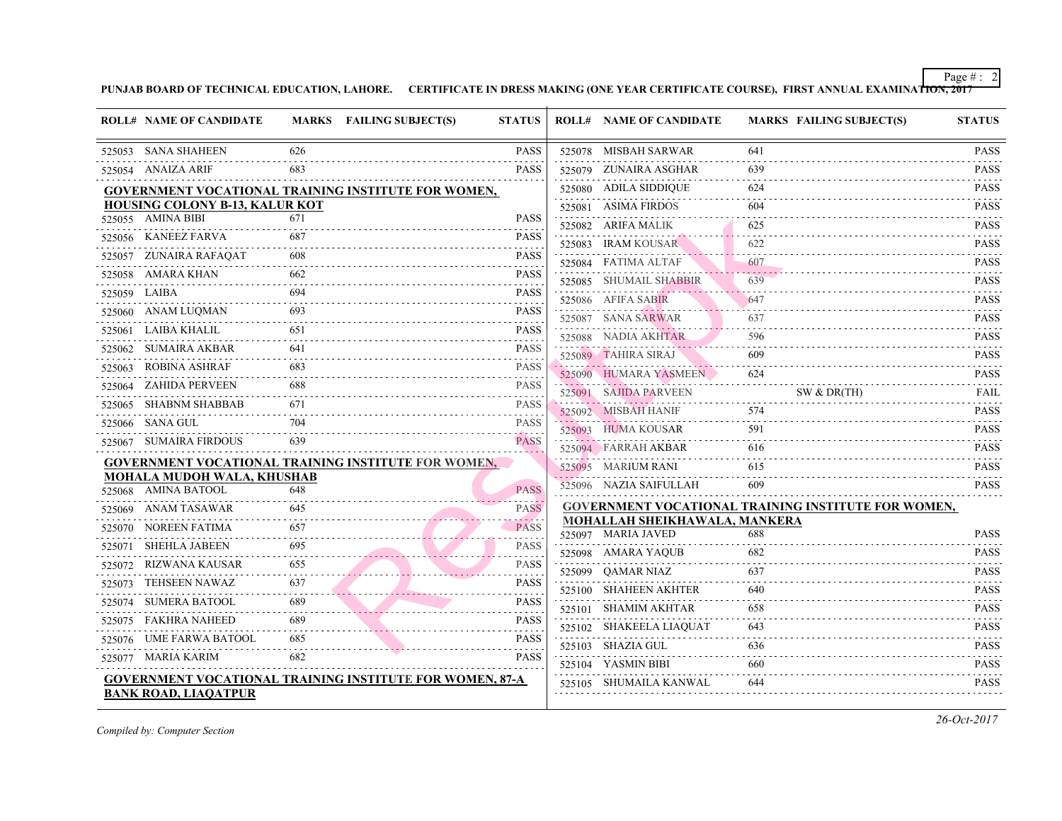|              | <b>ROLL# NAME OF CANDIDATE</b>        |     | MARKS FAILING SUBJECT(S)                                        | <b>STATUS</b>             | <b>ROLL# NAME OF CANDIDATE</b>                                             | <b>MARKS FAIL</b> |
|--------------|---------------------------------------|-----|-----------------------------------------------------------------|---------------------------|----------------------------------------------------------------------------|-------------------|
|              | 525053 SANA SHAHEEN                   | 626 |                                                                 | <b>PASS</b>               | 525078 MISBAH SARWAR                                                       | 641               |
|              | 525054 ANAIZA ARIF                    | 683 |                                                                 | PASS                      | 525079 ZUNAIRA ASGHAR                                                      | 639               |
|              |                                       |     | <b>GOVERNMENT VOCATIONAL TRAINING INSTITUTE FOR WOMEN,</b>      |                           | 525080 ADILA SIDDIQUE                                                      | 624               |
|              | <b>HOUSING COLONY B-13, KALUR KOT</b> |     |                                                                 |                           | 525081 ASIMA FIRDOS                                                        | 604               |
|              | 525055 AMINA BIBI                     | 671 |                                                                 | <b>PASS</b>               | 525082 ARIFA MALIK                                                         | 625               |
|              | 525056 KANEEZ FARVA                   | 687 |                                                                 | <b>PASS</b>               | 525083 IRAM KOUSAR                                                         | 622               |
|              | 525057 ZUNAIRA RAFAQAT                | 608 |                                                                 | <b>PASS</b>               | 525084 FATIMA ALTAF                                                        | 607               |
|              | 525058 AMARA KHAN                     | 662 |                                                                 | <b>PASS</b>               | 525085 SHUMAIL SHABBIR                                                     | 639               |
| 525059 LAIBA |                                       | 694 |                                                                 | <b>PASS</b>               | 525086 AFIFA SABIR                                                         | 647               |
|              | 525060 ANAM LUQMAN                    | 693 |                                                                 | <b>PASS</b>               | 525087 SANA SARWAR                                                         | 637               |
|              | 525061 LAIBA KHALIL                   | 651 |                                                                 | <b>PASS</b>               | 525088 NADIA AKHTAR                                                        | 596               |
|              | 525062 SUMAIRA AKBAR                  | 641 |                                                                 | <b>PASS</b>               | 525089 TAHIRA SIRAJ                                                        | 609               |
| 525063       | ROBINA ASHRAF                         | 683 |                                                                 | <b>PASS</b>               | 525090 HUMARA YASMEEN                                                      | 624               |
| 525064       | ZAHIDA PERVEEN                        | 688 |                                                                 | <b>PASS</b>               | 525091 SAJIDA PARVEEN                                                      | SW 8              |
|              | 525065 SHABNM SHABBAB                 | 671 |                                                                 | <b>PASS</b>               | 525092 MISBAH HANIF                                                        | 574               |
|              | 525066 SANA GUL                       | 704 |                                                                 | <b>PASS</b>               | 525093 HUMA KOUSAR                                                         | 591               |
|              | 525067 SUMAIRA FIRDOUS                | 639 |                                                                 | المناصرة<br><b>PASS</b>   | 525094 FARRAH AKBAR                                                        | 616               |
|              |                                       |     | <b>GOVERNMENT VOCATIONAL TRAINING INSTITUTE FOR WOMEN,</b>      |                           | 525095 MARIUM RANI                                                         | 615               |
|              | <b>MOHALA MUDOH WALA, KHUSHAB</b>     |     |                                                                 |                           | 525096 NAZIA SAIFULLAH                                                     | 609               |
|              | 525068 AMINA BATOOL                   | 648 |                                                                 | <b>PASS</b>               |                                                                            |                   |
|              | 525069 ANAM TASAWAR                   | 645 |                                                                 | <b>PASS</b><br>. <i>.</i> | <b>GOVERNMENT VOCATIONAL TRAINING IN:</b><br>MOHALLAH SHEIKHAWALA, MANKERA |                   |
| 525070       | NOREEN FATIMA                         | 657 |                                                                 | <b>PASS</b>               | 525097 MARIA JAVED                                                         | 688               |
| 525071       | SHEHLA JABEEN                         |     |                                                                 | <b>PASS</b>               | 525098 AMARA YAQUB                                                         | 682               |
|              | 525072 RIZWANA KAUSAR                 | 655 |                                                                 | <b>PASS</b>               | 525099 QAMAR NIAZ                                                          | 637               |
| 525073       | TEHSEEN NAWAZ                         | 637 |                                                                 | <b>PASS</b>               | 525100 SHAHEEN AKHTER                                                      | 640               |
| 525074       | SUMERA BATOOL                         | 689 |                                                                 | <b>PASS</b>               | 525101 SHAMIM AKHTAR                                                       | 658               |
|              | 525075 FAKHRA NAHEED                  | 689 |                                                                 | <b>PASS</b>               | 525102 SHAKEELA LIAQUAT                                                    | 643               |
|              | 525076 UME FARWA BATOOL               | 685 |                                                                 | <b>PASS</b>               | 525103 SHAZIA GUL                                                          | 636               |
|              | 525077 MARIA KARIM                    | 682 |                                                                 | <b>PASS</b>               | 525104 YASMIN BIBI                                                         | 660               |
|              |                                       |     | <b>GOVERNMENT VOCATIONAL TRAINING INSTITUTE FOR WOMEN, 87-A</b> |                           | 525105 SHUMAILA KANWAL                                                     | 644               |
|              | <b>BANK ROAD, LIAQATPUR</b>           |     |                                                                 |                           |                                                                            |                   |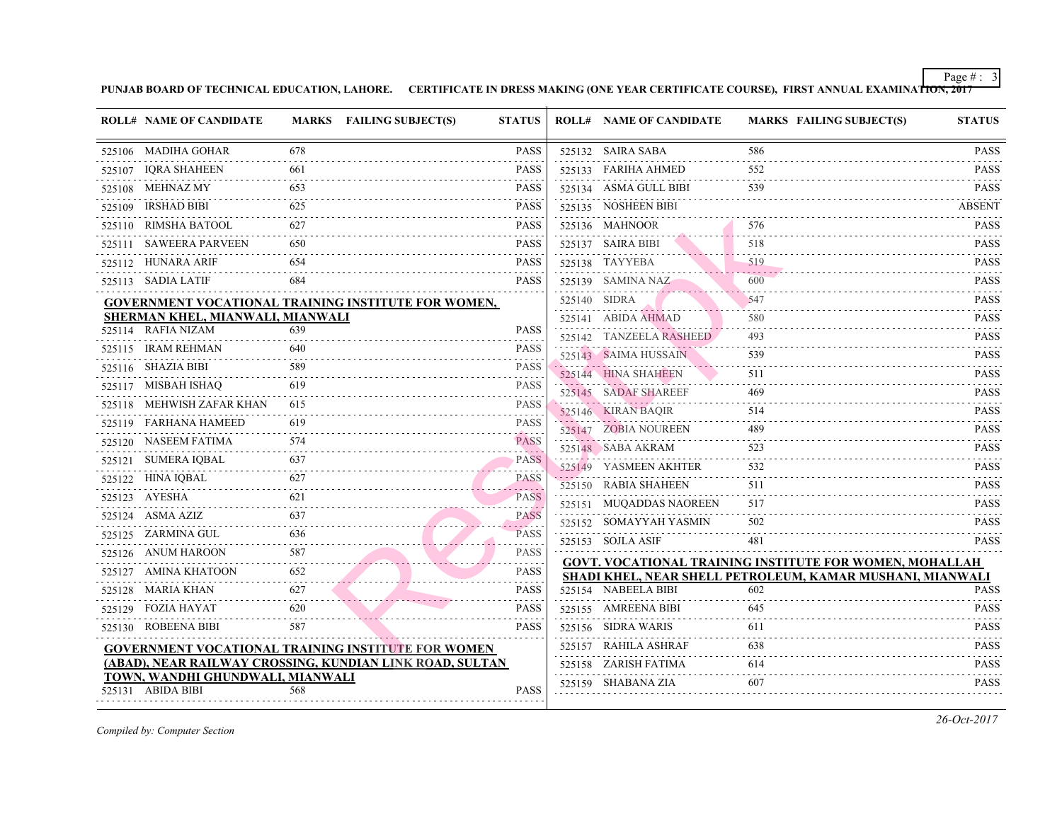| <b>ROLL# NAME OF CANDIDATE</b>                        |     | MARKS FAILING SUBJECT(S)                                   | <b>STATUS</b>                       |              | <b>ROLL# NAME OF CANDIDATE</b>             | <b>MARKS FAIL</b> |
|-------------------------------------------------------|-----|------------------------------------------------------------|-------------------------------------|--------------|--------------------------------------------|-------------------|
| 525106 MADIHA GOHAR                                   | 678 |                                                            | <b>PASS</b>                         |              | 525132 SAIRA SABA                          | 586               |
| 525107 IQRA SHAHEEN                                   | 661 |                                                            | <b>PASS</b>                         |              | 525133 FARIHA AHMED                        | 552               |
| 525108 MEHNAZ MY                                      | 653 |                                                            | <b>PASS</b>                         |              | 525134 ASMA GULL BIBI                      | 539               |
| 525109 IRSHAD BIBI                                    | 625 |                                                            | <b>PASS</b>                         |              | 525135 NOSHEEN BIBI                        |                   |
| 525110 RIMSHA BATOOL                                  | 627 |                                                            | <b>PASS</b>                         |              | 525136 MAHNOOR                             | 576               |
| 525111 SAWEERA PARVEEN                                | 650 |                                                            | <b>PASS</b>                         |              | 525137 SAIRA BIBI                          | 518               |
| 525112 HUNARA ARIF                                    |     |                                                            | <b>PASS</b>                         |              | 525138 TAYYEBA                             | 519               |
| 525113 SADIA LATIF                                    | 684 |                                                            | <b>PASS</b>                         |              | 525139 SAMINA NAZ                          | 600               |
|                                                       |     | <b>GOVERNMENT VOCATIONAL TRAINING INSTITUTE FOR WOMEN,</b> |                                     | 525140 SIDRA |                                            | 547               |
| SHERMAN KHEL, MIANWALI, MIANWALI                      |     |                                                            |                                     |              | 525141 ABIDA AHMAD                         | 580               |
| 525114 RAFIA NIZAM                                    | 639 |                                                            | <b>PASS</b>                         |              | 525142 TANZEELA RASHEED                    | 493               |
| 525115 IRAM REHMAN                                    | 640 |                                                            | <b>PASS</b>                         |              | 525143 SAIMA HUSSAIN                       | 539               |
| 525116 SHAZIA BIBI                                    | 589 |                                                            | <b>PASS</b><br>.                    |              | 525144 HINA SHAHEEN                        | 511               |
| 525117 MISBAH ISHAQ                                   | 619 |                                                            | <b>PASS</b>                         |              | 525145 SADAF SHAREEF                       | 469               |
| 525118 MEHWISH ZAFAR KHAN                             | 615 |                                                            | <b>PASS</b>                         |              | 525146 KIRAN BAQIR                         | 514               |
| 525119 FARHANA HAMEED                                 | 619 |                                                            | <b>PASS</b><br>a sha a a            |              | 525147 ZOBIA NOUREEN                       | 489               |
| 525120 NASEEM FATIMA                                  | 574 |                                                            | <b>PASS</b>                         |              | 525148 SABA AKRAM                          | 523               |
| 525121 SUMERA IQBAL                                   | 637 |                                                            | <b>PASS</b>                         |              | 525149 YASMEEN AKHTER                      | 532               |
| 525122 HINA IQBAL                                     | 627 |                                                            | <b>PASS</b><br>$\omega$ is a set of |              | 525150 RABIA SHAHEEN                       | 511               |
| 525123 AYESHA                                         | 621 |                                                            | <b>PASS</b>                         |              | 525151 MUQADDAS NAOREEN                    | 517               |
| 525124 ASMA AZIZ                                      | 637 |                                                            | <b>PASS</b><br>.                    |              | 525152 SOMAYYAH YASMIN                     | 502               |
| 525125 ZARMINA GUL                                    |     |                                                            | <b>PASS</b><br>.                    |              | 525153 SOJLA ASIF                          | 481               |
| 525126 ANUM HAROON                                    | 587 |                                                            | <b>PASS</b>                         |              | <b>GOVT. VOCATIONAL TRAINING INSTITUTE</b> |                   |
| 525127 AMINA KHATOON                                  | 652 |                                                            | <b>PASS</b>                         |              | SHADI KHEL, NEAR SHELL PETROLEUM, K.       |                   |
| 525128 MARIA KHAN                                     | 627 |                                                            | <b>PASS</b>                         |              | 525154 NABEELA BIBI                        | 602               |
| 525129 FOZIA HAYAT                                    | 620 |                                                            | <b>PASS</b>                         |              | 525155 AMREENA BIBI                        | 645               |
| 525130 ROBEENA BIBI                                   | 587 |                                                            | <b>PASS</b>                         |              | 525156 SIDRA WARIS                         | 611               |
|                                                       |     | <b>GOVERNMENT VOCATIONAL TRAINING INSTITUTE FOR WOMEN</b>  |                                     |              | 525157 RAHILA ASHRAF                       | 638               |
|                                                       |     | (ABAD), NEAR RAILWAY CROSSING, KUNDIAN LINK ROAD, SULTAN   |                                     |              | 525158 ZARISH FATIMA                       | 614               |
| TOWN, WANDHI GHUNDWALI, MIANWALI<br>525131 ABIDA BIBI | 568 |                                                            | <b>PASS</b>                         |              | 525159 SHABANA ZIA                         | 607               |
|                                                       |     |                                                            |                                     |              |                                            |                   |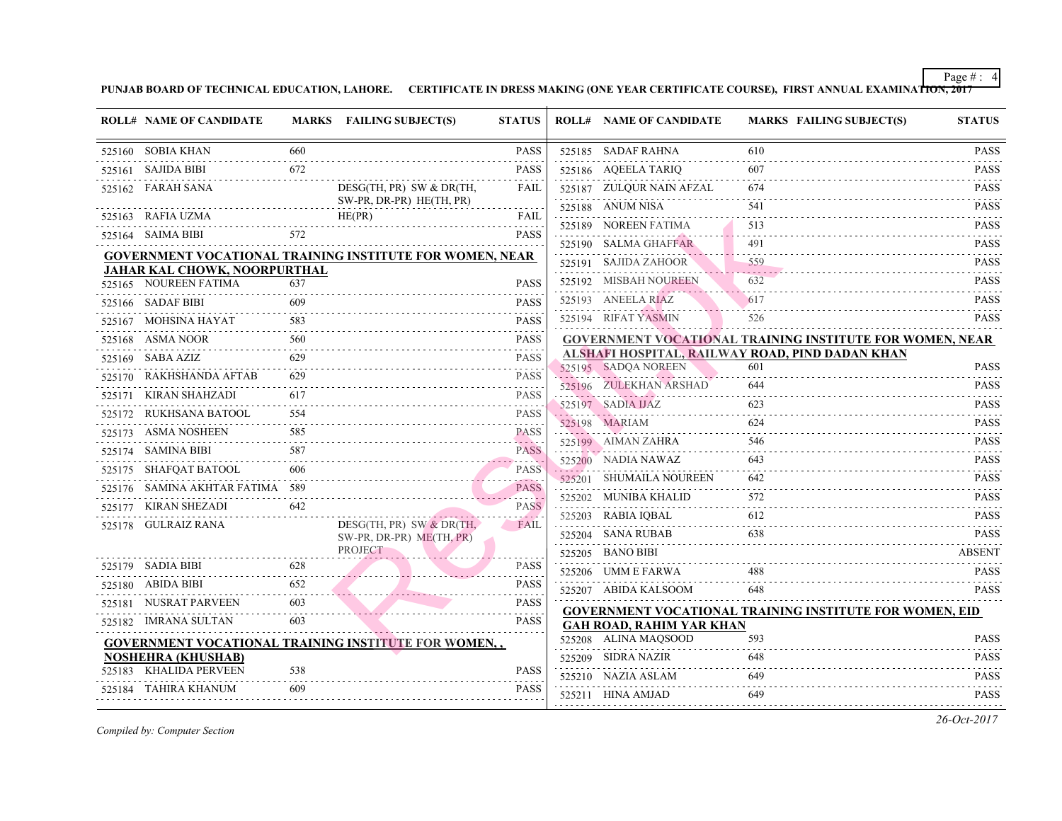| <b>ROLL# NAME OF CANDIDATE</b>  |     | MARKS FAILING SUBJECT(S)                                        | <b>STATUS</b>                 | <b>ROLL# NAME OF CANDIDATE</b>                                               | <b>MARKS FAIL</b> |
|---------------------------------|-----|-----------------------------------------------------------------|-------------------------------|------------------------------------------------------------------------------|-------------------|
| 525160 SOBIA KHAN               | 660 |                                                                 | <b>PASS</b>                   | 525185 SADAF RAHNA                                                           | 610               |
| 525161 SAJIDA BIBI              | 672 |                                                                 | <b>PASS</b>                   | 525186 AQEELA TARIQ                                                          | 607               |
| 525162 FARAH SANA               |     | $DESG(TH, PR)$ SW & DR(TH,                                      | FAIL                          | 525187 ZULQUR NAIN AFZAL                                                     | 674               |
| 525163 RAFIA UZMA               |     | SW-PR, DR-PR) HE(TH, PR)<br>HE(PR)                              | FAIL                          | 525188 ANUM NISA                                                             | 541               |
| 525164 SAIMA BIBI               | 572 |                                                                 | <b>PASS</b>                   | 525189 NOREEN FATIMA                                                         | 513               |
|                                 |     |                                                                 |                               | 525190 SALMA GHAFFAR                                                         | 491               |
| JAHAR KAL CHOWK, NOORPURTHAL    |     | <b>GOVERNMENT VOCATIONAL TRAINING INSTITUTE FOR WOMEN, NEAR</b> |                               | 525191 SAJIDA ZAHOOR                                                         | 559               |
| 525165 NOUREEN FATIMA           | 637 |                                                                 | <b>PASS</b>                   | 525192 MISBAH NOUREEN                                                        | 632               |
| 525166 SADAF BIBI               | 609 |                                                                 | <b>PASS</b>                   | 525193 ANEELA RIAZ                                                           | 617               |
| 525167 MOHSINA HAYAT            | 583 |                                                                 | <b>PASS</b>                   | 525194 RIFAT YASMIN                                                          | 526               |
| 525168 ASMA NOOR                | 560 |                                                                 | <b>PASS</b>                   | <b>GOVERNMENT VOCATIONAL TRAINING IN</b>                                     |                   |
| $525169$ SABA AZIZ              | 629 |                                                                 | <b>PASS</b>                   | ALSHAFI HOSPITAL, RAILWAY ROAD, PIND                                         |                   |
| 525170 RAKHSHANDA AFTAB         | 629 |                                                                 | <b>PASS</b>                   | 525195 SADQA NOREEN                                                          | 601               |
| 525171 KIRAN SHAHZADI           | 617 |                                                                 | .<br><b>PASS</b>              | 525196 ZULEKHAN ARSHAD                                                       | 644               |
| 525172 RUKHSANA BATOOL          | 554 |                                                                 | <b>PASS</b>                   | 525197 SADIA IJAZ<br>525198 MARIAM                                           | 623<br>624        |
| 525173 ASMA NOSHEEN             | 585 |                                                                 | <b>PASS</b>                   |                                                                              | 546               |
| 525174 SAMINA BIBI              | 587 |                                                                 | August 2020<br><b>PASS</b>    | 525199 AIMAN ZAHRA                                                           | 643               |
| 525175 SHAFQAT BATOOL           | 606 |                                                                 | <b>TAXABLE</b><br><b>PASS</b> | 525200 NADIA NAWAZ<br>525201 SHUMAILA NOUREEN                                | 642               |
| 525176 SAMINA AKHTAR FATIMA 589 |     |                                                                 | <b>PASS</b>                   |                                                                              | 572               |
| 525177 KIRAN SHEZADI            | 642 |                                                                 | and a state<br><b>PASS</b>    | 525202 MUNIBA KHALID                                                         | 612               |
| 525178 GULRAIZ RANA             |     | $DESG(TH, PR)$ SW & DR(TH,                                      | FAIL                          | 525203 RABIA IQBAL<br>525204 SANA RUBAB                                      | 638               |
|                                 |     | SW-PR, DR-PR) ME(TH, PR)<br>PROJECT                             |                               | 525205 BANO BIBI                                                             |                   |
| 525179 SADIA BIBI               | 628 |                                                                 | <b>PASS</b>                   | 525206 UMM E FARWA                                                           | 488               |
| 525180 ABIDA BIBI               | 652 |                                                                 | <b>PASS</b>                   | 525207 ABIDA KALSOOM                                                         | 648               |
| 525181 NUSRAT PARVEEN           | 603 |                                                                 | <b>PASS</b>                   |                                                                              |                   |
| 525182 IMRANA SULTAN            | 603 |                                                                 | <b>PASS</b>                   | <b>GOVERNMENT VOCATIONAL TRAINING IN:</b><br><b>GAH ROAD, RAHIM YAR KHAN</b> |                   |
|                                 |     | <b>GOVERNMENT VOCATIONAL TRAINING INSTITUTE FOR WOMEN,,</b>     |                               | 525208 ALINA MAQSOOD                                                         | 593               |
| <b>NOSHEHRA (KHUSHAB)</b>       |     |                                                                 |                               | 525209 SIDRA NAZIR                                                           | 648               |
| 525183 KHALIDA PERVEEN          | 538 |                                                                 | <b>PASS</b>                   | 525210 NAZIA ASLAM                                                           | 649               |
| 525184 TAHIRA KHANUM            | 609 |                                                                 | <b>PASS</b>                   | 525211 HINA AMJAD                                                            | 649               |
|                                 |     |                                                                 |                               |                                                                              |                   |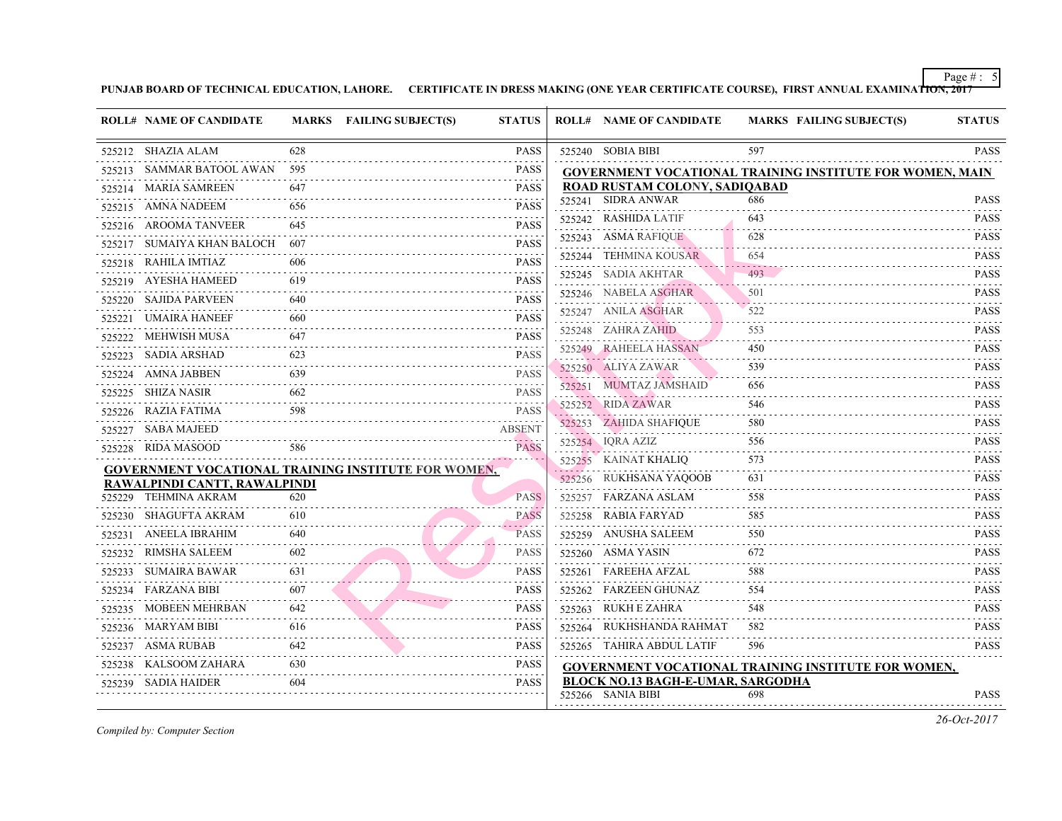|        | <b>ROLL# NAME OF CANDIDATE</b> |               | MARKS FAILING SUBJECT(S)<br><b>STATUS</b>                  |                                                                                                                                                                                                                       |              | <b>ROLL# NAME OF CANDIDATE</b>            | <b>MARKS FAIL</b> |
|--------|--------------------------------|---------------|------------------------------------------------------------|-----------------------------------------------------------------------------------------------------------------------------------------------------------------------------------------------------------------------|--------------|-------------------------------------------|-------------------|
|        | 525212 SHAZIA ALAM             | 628           |                                                            | PASS                                                                                                                                                                                                                  |              | 525240 SOBIA BIBI                         | 597               |
|        | 525213 SAMMAR BATOOL AWAN      | 595           |                                                            | PASS                                                                                                                                                                                                                  |              | <b>GOVERNMENT VOCATIONAL TRAINING IN:</b> |                   |
|        | 525214 MARIA SAMREEN           | 647           |                                                            | <b>PASS</b>                                                                                                                                                                                                           |              | ROAD RUSTAM COLONY, SADIOABAD             |                   |
|        | 525215 AMNA NADEEM             | 656           |                                                            | <b>PASS</b>                                                                                                                                                                                                           |              | 525241 SIDRA ANWAR                        | 686               |
|        | 525216 AROOMA TANVEER          | 645           |                                                            | <b>PASS</b>                                                                                                                                                                                                           |              | 525242 RASHIDA LATIF                      | 643               |
|        | 525217 SUMAIYA KHAN BALOCH     | 607           |                                                            | PASS                                                                                                                                                                                                                  |              | 525243 ASMA RAFIQUE                       | 628               |
|        | 525218 RAHILA IMTIAZ           | 606           |                                                            | <b>PASS</b>                                                                                                                                                                                                           |              | 525244 TEHMINA KOUSAR                     | 654               |
|        | 525219 AYESHA HAMEED           | 619           |                                                            | <b>PASS</b>                                                                                                                                                                                                           |              | 525245 SADIA AKHTAR                       | 493               |
|        | 525220 SAJIDA PARVEEN          | 640           |                                                            | PASS                                                                                                                                                                                                                  |              | 525246 NABELA ASGHAR                      | 501               |
|        | 525221 UMAIRA HANEEF           | 660           |                                                            | <b>PASS</b>                                                                                                                                                                                                           |              | 525247 ANILA ASGHAR                       | 522               |
|        | 525222 MEHWISH MUSA            | $   -$<br>647 |                                                            | $\mathcal{L}^{\mathcal{A}}\left( \mathcal{A}^{\mathcal{A}}\right) =\mathcal{L}^{\mathcal{A}}\left( \mathcal{A}^{\mathcal{A}}\right) =\mathcal{L}^{\mathcal{A}}\left( \mathcal{A}^{\mathcal{A}}\right)$<br><b>PASS</b> |              | 525248 ZAHRA ZAHID                        | 553               |
|        | 525223 SADIA ARSHAD            | .<br>623      |                                                            | .<br>PASS                                                                                                                                                                                                             |              | 525249 RAHEELA HASSAN                     | 450               |
|        | 525224 AMNA JABBEN             | 639           |                                                            | <b>PASS</b>                                                                                                                                                                                                           |              | 525250 ALIYA ZAWAR                        | 539               |
|        | 525225 SHIZA NASIR             | 662           |                                                            | <b>PASS</b>                                                                                                                                                                                                           |              | 525251 MUMTAZ JAMSHAID                    | 656               |
|        | 525226 RAZIA FATIMA            | 598           |                                                            | <b>PASS</b>                                                                                                                                                                                                           |              | 525252 RIDA ZAWAR<br>.                    | 546               |
|        | 525227 SABA MAJEED             |               | .<br><b>ABSENT</b>                                         |                                                                                                                                                                                                                       |              | 525253 ZAHIDA SHAFIQUE                    | 580               |
|        | 525228 RIDA MASOOD             | 586           |                                                            | a da alba a<br><b>PASS</b>                                                                                                                                                                                            |              | 525254 IQRA AZIZ                          | 556               |
|        |                                |               | <b>GOVERNMENT VOCATIONAL TRAINING INSTITUTE FOR WOMEN,</b> |                                                                                                                                                                                                                       | . <u>.</u> . | 525255 KAINAT KHALIQ                      | 573               |
|        | RAWALPINDI CANTT, RAWALPINDI   |               |                                                            |                                                                                                                                                                                                                       |              | 525256 RUKHSANA YAQOOB                    | 631               |
|        | 525229 TEHMINA AKRAM           | 620           |                                                            | <b>PASS</b>                                                                                                                                                                                                           |              | 525257 FARZANA ASLAM                      | 558               |
|        | 525230 SHAGUFTA AKRAM          | 610           |                                                            | <b>PASS</b>                                                                                                                                                                                                           |              | 525258 RABIA FARYAD                       | 585               |
|        | 525231 ANEELA IBRAHIM          | 640           |                                                            | <b>PASS</b>                                                                                                                                                                                                           |              | 525259 ANUSHA SALEEM                      | 550               |
|        | 525232 RIMSHA SALEEM           | 602           |                                                            | <b>PASS</b>                                                                                                                                                                                                           |              | 525260 ASMA YASIN                         | 672               |
| 525233 | SUMAIRA BAWAR                  | 631           |                                                            | <b>PASS</b>                                                                                                                                                                                                           |              | 525261 FAREEHA AFZAL                      | 588               |
|        | 525234 FARZANA BIBI            | 607           |                                                            | <b>PASS</b>                                                                                                                                                                                                           |              | 525262 FARZEEN GHUNAZ                     | 554               |
|        | 525235 MOBEEN MEHRBAN          | 642           |                                                            | <b>PASS</b>                                                                                                                                                                                                           |              | 525263 RUKH E ZAHRA                       | 548               |
|        | 525236 MARYAM BIBI             | 616           |                                                            | PASS                                                                                                                                                                                                                  |              | 525264 RUKHSHANDA RAHMAT                  | 582               |
|        | 525237 ASMA RUBAB              | 642           |                                                            | <b>PASS</b>                                                                                                                                                                                                           |              | 525265 TAHIRA ABDUL LATIF                 | 596               |
|        | 525238 KALSOOM ZAHARA          | 630           |                                                            | <b>PASS</b>                                                                                                                                                                                                           |              | <b>GOVERNMENT VOCATIONAL TRAINING IN:</b> |                   |
|        | 525239 SADIA HAIDER            | 604           |                                                            | PASS                                                                                                                                                                                                                  |              | <b>BLOCK NO.13 BAGH-E-UMAR, SARGODHA</b>  |                   |
|        |                                |               |                                                            |                                                                                                                                                                                                                       |              | 525266 SANIA BIBI                         | 698               |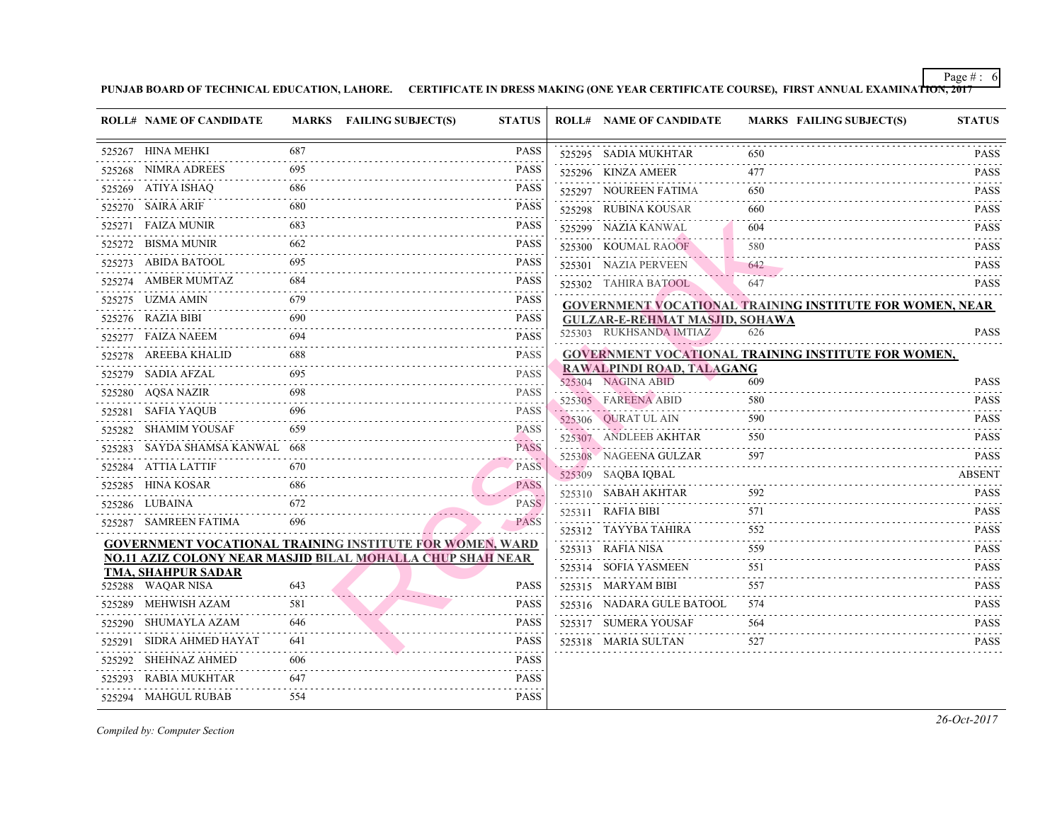|        | <b>ROLL# NAME OF CANDIDATE</b> |      | MARKS FAILING SUBJECT(S)                                          | <b>STATUS</b>                                              |   | <b>ROLL# NAME OF CANDIDATE</b>            | <b>MARKS FAIL</b> |
|--------|--------------------------------|------|-------------------------------------------------------------------|------------------------------------------------------------|---|-------------------------------------------|-------------------|
|        | 525267 HINA MEHKI              | 687  |                                                                   | <b>PASS</b>                                                |   | 525295 SADIA MUKHTAR                      | 650               |
|        | 525268 NIMRA ADREES            | 695  |                                                                   | <b>PASS</b>                                                |   | 525296 KINZA AMEER                        | 477               |
|        | 525269 ATIYA ISHAQ             | 686  |                                                                   | <b>PASS</b>                                                |   | 525297 NOUREEN FATIMA                     | 650               |
|        | 525270 SAIRA ARIF              | 680  |                                                                   | <b>PASS</b>                                                |   | 525298 RUBINA KOUSAR                      | 660               |
|        | 525271 FAIZA MUNIR             | 683  |                                                                   | <b>PASS</b>                                                |   | 525299 NAZIA KANWAL                       | 604               |
| .      | 525272 BISMA MUNIR             | 662  |                                                                   | <b>PASS</b>                                                |   | 525300 KOUMAL RAOOF                       | 580               |
|        | 525273 ABIDA BATOOL            | 695  |                                                                   | <b>PASS</b>                                                |   | 525301 NAZIA PERVEEN                      | 642               |
|        | 525274 AMBER MUMTAZ            | 684  |                                                                   | <b>PASS</b>                                                |   | 525302 TAHIRA BATOOL                      | 647               |
|        | 525275 UZMA AMIN               | 679  |                                                                   | <b>PASS</b>                                                |   | <b>GOVERNMENT VOCATIONAL TRAINING IN</b>  |                   |
|        | 525276 RAZIA BIBI              | 690  |                                                                   | <b>PASS</b>                                                |   | <b>GULZAR-E-REHMAT MASJID, SOHAWA</b>     |                   |
|        | 525277 FAIZA NAEEM             |      |                                                                   | <b>PASS</b>                                                |   | 525303 RUKHSANDA IMTIAZ                   | 626               |
| .      | 525278 AREEBA KHALID           | 688  |                                                                   | <b>PASS</b>                                                |   | <b>GOVERNMENT VOCATIONAL TRAINING IN:</b> |                   |
|        | 525279 SADIA AFZAL             | 695  |                                                                   | <b>PASS</b>                                                |   | RAWALPINDI ROAD, TALAGANG                 |                   |
|        | 525280 AQSA NAZIR              |      |                                                                   | <b>PASS</b>                                                |   | 525304 NAGINA ABID                        | 609               |
|        | 525281 SAFIA YAQUB             | -696 |                                                                   | .<br><b>PASS</b>                                           |   | 525305 FAREENA ABID                       | 580<br>590        |
|        | 525282 SHAMIM YOUSAF           | 659  |                                                                   | .<br><b>PASS</b>                                           |   | 525306 QURAT UL AIN                       |                   |
|        | 525283 SAYDA SHAMSA KANWAL 668 |      |                                                                   | $\omega_{\rm{eff}}$ and $\omega_{\rm{eff}}$<br><b>PASS</b> |   | 525307 ANDLEEB AKHTAR                     | 550               |
|        | 525284 ATTIA LATTIF            | 670  |                                                                   | . . <i>. .</i><br><b>PASS</b>                              | . | 525308 NAGEENA GULZAR                     | 597               |
|        | 525285 HINA KOSAR              |      |                                                                   | <b>PASS</b>                                                |   | 525309 SAQBA IQBAL<br>525310 SABAH AKHTAR | 592               |
|        | 525286 LUBAINA                 | 672  |                                                                   | . <b>.</b> .<br><b>PASS</b>                                |   |                                           | 571               |
|        | 525287 SAMREEN FATIMA          | 696  |                                                                   | $-1 - 1 - 1$<br><b>PASS</b>                                |   | 525311 RAFIA BIBI                         | 552               |
|        |                                |      | <b>GOVERNMENT VOCATIONAL TRAINING INSTITUTE FOR WOMEN, WARD</b>   |                                                            |   | 525312 TAYYBA TAHIRA                      |                   |
|        |                                |      | <b>NO.11 AZIZ COLONY NEAR MASJID BILAL MOHALLA CHUP SHAH NEAR</b> |                                                            |   | 525313 RAFIA NISA                         | 559               |
|        | <b>TMA, SHAHPUR SADAR</b>      |      |                                                                   |                                                            |   | 525314 SOFIA YASMEEN                      | 551               |
|        | 525288 WAQAR NISA              | 643  |                                                                   | <b>PASS</b>                                                |   | 525315 MARYAM BIBI                        | 557               |
|        | 525289 MEHWISH AZAM            | 581  |                                                                   | <b>PASS</b>                                                |   | 525316 NADARA GULE BATOOL                 | 574               |
|        | 525290 SHUMAYLA AZAM           | 646  |                                                                   | <b>PASS</b>                                                |   | 525317 SUMERA YOUSAF                      | 564               |
| 525291 | SIDRA AHMED HAYAT              | 641  |                                                                   | <b>PASS</b>                                                |   | 525318 MARIA SULTAN                       | 527               |
| 525292 | SHEHNAZ AHMED                  | 606  |                                                                   | <b>PASS</b>                                                |   |                                           |                   |
|        | 525293 RABIA MUKHTAR           | 647  |                                                                   | <b>PASS</b>                                                |   |                                           |                   |
|        | 525294 MAHGUL RUBAB            | 554  |                                                                   | <b>PASS</b>                                                |   |                                           |                   |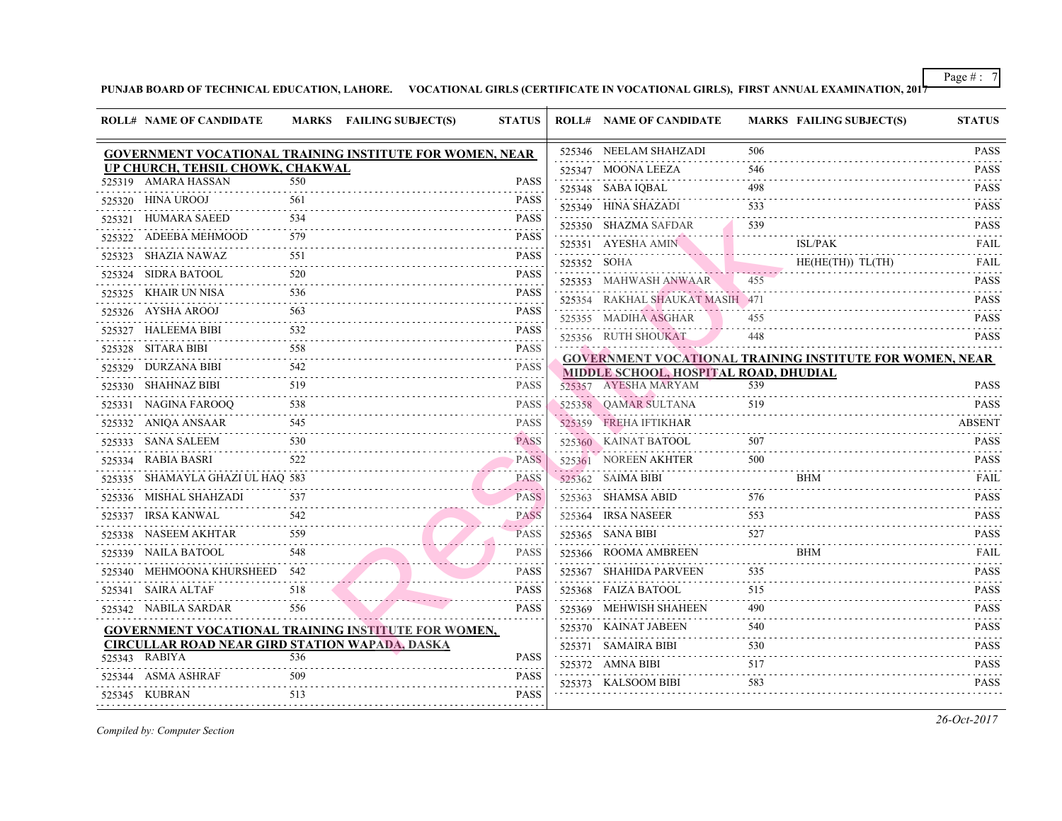|        | <b>ROLL# NAME OF CANDIDATE</b>                        |          | <b>MARKS</b> FAILING SUBJECT(S)                                 | <b>STATUS</b>                       |             | <b>ROLL# NAME OF CANDIDATE</b>                                                   | <b>MARKS FAIL</b> |            |
|--------|-------------------------------------------------------|----------|-----------------------------------------------------------------|-------------------------------------|-------------|----------------------------------------------------------------------------------|-------------------|------------|
|        |                                                       |          | <b>GOVERNMENT VOCATIONAL TRAINING INSTITUTE FOR WOMEN, NEAR</b> |                                     |             | 525346 NEELAM SHAHZADI                                                           | 506               |            |
|        | UP CHURCH, TEHSIL CHOWK, CHAKWAL                      |          |                                                                 |                                     |             | 525347 MOONA LEEZA                                                               | 546               |            |
|        | 525319 AMARA HASSAN                                   | 550      |                                                                 | <b>PASS</b>                         |             | 525348 SABA IQBAL                                                                | 498               |            |
|        | 525320 HINA UROOJ                                     | 561      |                                                                 | <b>PASS</b>                         |             | 525349 HINA SHAZADI                                                              | 533               |            |
|        | 525321 HUMARA SAEED                                   | 534      |                                                                 | <b>PASS</b>                         |             | 525350 SHAZMA SAFDAR                                                             | 539               |            |
|        | 525322 ADEEBA MEHMOOD                                 | 579      |                                                                 | <b>PASS</b>                         |             | 525351 AYESHA AMIN                                                               |                   | ISL/P      |
|        | 525323 SHAZIA NAWAZ                                   | 551      |                                                                 | <b>PASS</b>                         | 525352 SOHA |                                                                                  |                   | HE(H)      |
| 525324 | SIDRA BATOOL                                          | 520      |                                                                 | <b>PASS</b>                         |             | 525353 MAHWASH ANWAAR                                                            | 455               |            |
| 525325 | KHAIR UN NISA                                         | 536<br>. |                                                                 | <b>PASS</b>                         |             | 525354 RAKHAL SHAUKAT MASIH 471                                                  |                   |            |
|        | 525326 AYSHA AROOJ                                    | 563      |                                                                 | <b>PASS</b>                         |             | 525355 MADIHA ASGHAR                                                             | 455               |            |
|        | 525327 HALEEMA BIBI<br>.                              | 532      |                                                                 | <b>PASS</b><br>.                    |             | 525356 RUTH SHOUKAT                                                              | 448               |            |
|        | 525328 SITARA BIBI                                    | 558      |                                                                 | <b>PASS</b>                         |             |                                                                                  |                   |            |
|        | 525329 DURZANA BIBI                                   | 542      |                                                                 | .<br><b>PASS</b>                    |             | <b>GOVERNMENT VOCATIONAL TRAINING IN:</b><br>MIDDLE SCHOOL, HOSPITAL ROAD, DHUDI |                   |            |
|        | 525330 SHAHNAZ BIBI                                   | 519      |                                                                 | <b>PASS</b>                         |             | 525357 AYESHA MARYAM                                                             | 539               |            |
|        | 525331 NAGINA FAROOO                                  | 538      |                                                                 | <b>PASS</b>                         |             | 525358 QAMAR SULTANA                                                             | 519               |            |
|        | .<br>525332 ANIQA ANSAAR                              | 545      |                                                                 | <b>PASS</b>                         |             | 525359 FREHA IFTIKHAR                                                            |                   |            |
|        | 525333 SANA SALEEM                                    | 530      |                                                                 | <b>PASS</b>                         |             | 525360 KAINAT BATOOL                                                             | 507               |            |
|        | 525334 RABIA BASRI                                    | 522      |                                                                 | <b>PASS</b>                         |             | 525361 NOREEN AKHTER                                                             | 500               |            |
|        | 525335 SHAMAYLA GHAZI UL HAQ 583                      |          |                                                                 | . <u>.</u><br><b>PASS</b>           |             | 525362 SAIMA BIBI                                                                |                   | <b>BHM</b> |
|        | 525336 MISHAL SHAHZADI                                | 537      |                                                                 | $\omega$ is a set of<br><b>PASS</b> |             | 525363 SHAMSA ABID                                                               | 576               |            |
|        | 525337 IRSA KANWAL                                    | 542      |                                                                 | <b>PASS</b>                         |             | 525364 IRSA NASEER                                                               | 553               |            |
|        | 525338 NASEEM AKHTAR                                  | 559      |                                                                 | <b>Sand Store</b><br>PASS           |             | 525365 SANA BIBI                                                                 | 527               |            |
|        | 525339 NAILA BATOOL                                   |          |                                                                 | <b>PASS</b>                         |             | 525366 ROOMA AMBREEN                                                             |                   | <b>BHM</b> |
|        | 525340 MEHMOONA KHURSHEED 542                         |          |                                                                 | <b>PASS</b>                         |             | 525367 SHAHIDA PARVEEN                                                           | 535               |            |
|        | 525341 SAIRA ALTAF                                    | 518      |                                                                 | <b>PASS</b>                         |             | 525368 FAIZA BATOOL                                                              | 515               |            |
|        | 525342 NABILA SARDAR                                  | 556      |                                                                 | <b>PASS</b>                         |             | 525369 MEHWISH SHAHEEN                                                           | 490               |            |
|        |                                                       |          | <b>GOVERNMENT VOCATIONAL TRAINING INSTITUTE FOR WOMEN,</b>      |                                     |             | 525370 KAINAT JABEEN                                                             | 540               |            |
|        | <b>CIRCULLAR ROAD NEAR GIRD STATION WAPADA, DASKA</b> |          |                                                                 |                                     |             | 525371 SAMAIRA BIBI                                                              | 530               |            |
|        | 525343 RABIYA                                         | 536      |                                                                 | <b>PASS</b>                         |             | 525372 AMNA BIBI                                                                 | 517               |            |
|        | 525344 ASMA ASHRAF                                    | 509      |                                                                 | <b>PASS</b>                         |             | 525373 KALSOOM BIBI                                                              | 583               |            |
|        | 525345 KUBRAN                                         | 513      |                                                                 | <b>PASS</b>                         |             |                                                                                  |                   |            |
|        |                                                       |          |                                                                 |                                     |             |                                                                                  |                   |            |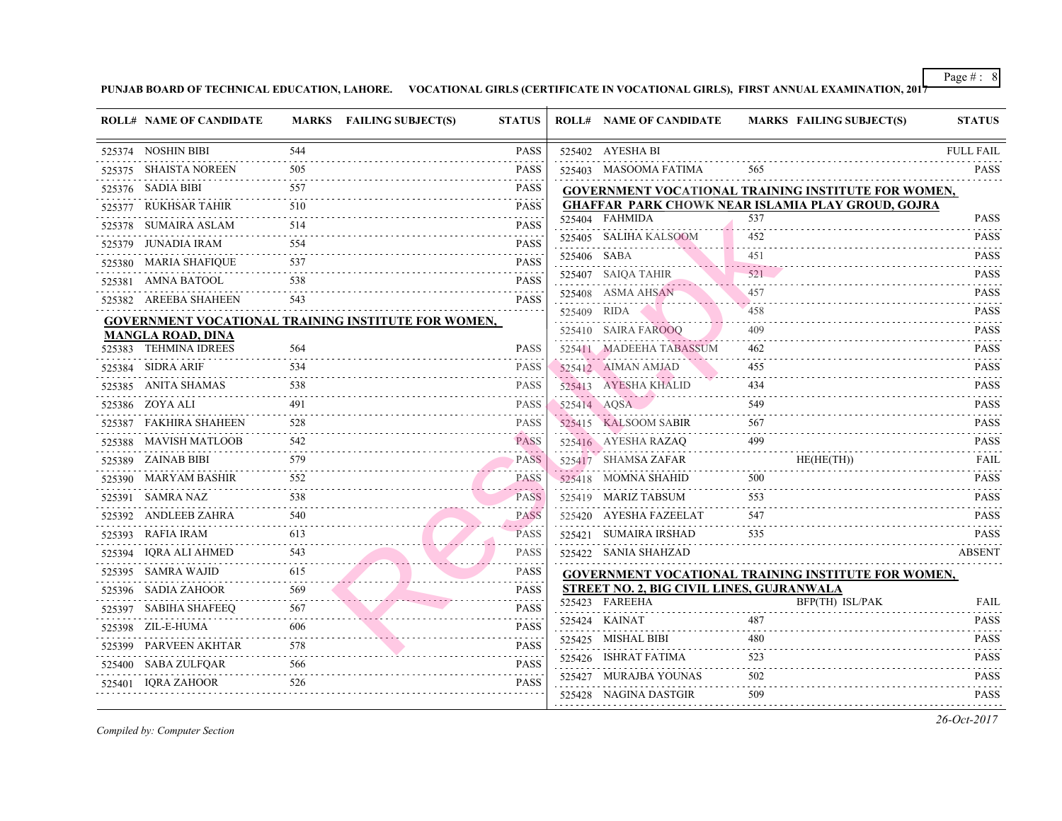| <b>ROLL# NAME OF CANDIDATE</b> |                       | MARKS FAILING SUBJECT(S)                                   | <b>STATUS</b>                                     |             | <b>ROLL# NAME OF CANDIDATE</b>                 | <b>MARKS FAIL</b> |
|--------------------------------|-----------------------|------------------------------------------------------------|---------------------------------------------------|-------------|------------------------------------------------|-------------------|
| 525374 NOSHIN BIBI             | 544                   |                                                            | <b>PASS</b>                                       |             | 525402 AYESHA BI                               |                   |
| 525375 SHAISTA NOREEN          | 505                   |                                                            | <b>PASS</b>                                       |             | 525403 MASOOMA FATIMA                          | 565               |
| 525376 SADIA BIBI              | 557                   |                                                            | <b>PASS</b>                                       |             | <b>GOVERNMENT VOCATIONAL TRAINING IN</b>       |                   |
| 525377 RUKHSAR TAHIR           | 510                   |                                                            | <b>PASS</b><br>.                                  |             | <b>GHAFFAR PARK CHOWK NEAR ISLAMIA PI</b>      |                   |
| 525378 SUMAIRA ASLAM           | 514                   |                                                            | <b>PASS</b>                                       |             | 525404 FAHMIDA                                 | 537               |
| 525379 JUNADIA IRAM            | 554                   |                                                            | <b>PASS</b>                                       |             | 525405 SALIHA KALSOOM                          | 452               |
| 525380 MARIA SHAFIQUE          | 537                   |                                                            | <b>PASS</b>                                       | 525406 SABA |                                                | 451               |
| 525381 AMNA BATOOL             | 538                   |                                                            | .<br><b>PASS</b>                                  |             | 525407 SAIQA TAHIR                             | 521               |
| 525382 AREEBA SHAHEEN          | 543                   |                                                            | <b>PASS</b>                                       |             | 525408 ASMA AHSAN                              | 457               |
|                                |                       | <b>GOVERNMENT VOCATIONAL TRAINING INSTITUTE FOR WOMEN,</b> |                                                   | 525409 RIDA |                                                | 458               |
| <b>MANGLA ROAD, DINA</b>       |                       |                                                            |                                                   |             | 525410 SAIRA FAROOQ                            | 409               |
| 525383 TEHMINA IDREES          | 564                   |                                                            | <b>PASS</b>                                       |             | 525411 MADEEHA TABASSUM                        | 462               |
| 525384 SIDRA ARIF              | 534                   |                                                            | PASS                                              |             | 525412 AIMAN AMJAD                             | 455               |
| 525385 ANITA SHAMAS            | 538<br>.              |                                                            | <b>PASS</b>                                       |             | 525413 AYESHA KHALID                           | 434               |
| 525386 ZOYA ALI                | 491                   |                                                            | <b>PASS</b>                                       |             | 525414 AQSA                                    | 549               |
| 525387 FAKHIRA SHAHEEN         | 528                   |                                                            | <b>PASS</b>                                       |             | 525415 KALSOOM SABIR                           | 567               |
| 525388 MAVISH MATLOOB          | 542<br>.              |                                                            | <b>PASS</b>                                       |             | 525416 AYESHA RAZAQ                            | 499               |
| 525389 ZAINAB BIBI             | 579                   |                                                            | <b>PASS</b><br>. <i>.</i>                         |             | 525417 SHAMSA ZAFAR                            | <b>HE</b> (H      |
| 525390 MARYAM BASHIR           | 552                   |                                                            | PASS<br>$\alpha$ , $\alpha$ , $\alpha$ , $\alpha$ |             | 525418 MOMNA SHAHID                            | 500               |
| 525391 SAMRA NAZ               | 538<br>and a state of |                                                            | <b>PASS</b>                                       |             | 525419 MARIZ TABSUM                            | 553               |
| 525392 ANDLEEB ZAHRA           | 540                   |                                                            | <b>PASS</b>                                       |             | 525420 AYESHA FAZEELAT                         | 547               |
| 525393 RAFIA IRAM              | 613                   |                                                            | PASS                                              |             | 525421 SUMAIRA IRSHAD                          | 535               |
| 525394 IQRA ALI AHMED          | 543                   |                                                            | <b>PASS</b>                                       |             | 525422 SANIA SHAHZAD                           |                   |
| 525395 SAMRA WAJID             | 615                   |                                                            | <b>PASS</b>                                       |             | <b>GOVERNMENT VOCATIONAL TRAINING IN:</b>      |                   |
| 525396 SADIA ZAHOOR            | 569                   |                                                            | <b>PASS</b>                                       |             | <b>STREET NO. 2, BIG CIVIL LINES, GUJRANWA</b> |                   |
| 525397 SABIHA SHAFEEQ          | 567                   |                                                            | <b>PASS</b>                                       |             | 525423 FAREEHA                                 | BFP(1             |
| 525398 ZIL-E-HUMA              | 606                   |                                                            | <b>PASS</b>                                       |             | 525424 KAINAT                                  | 487               |
| 525399 PARVEEN AKHTAR          | 578                   |                                                            | <b>PASS</b>                                       |             | 525425 MISHAL BIBI                             | 480               |
| 525400 SABA ZULFQAR            | 566                   |                                                            | <b>PASS</b>                                       |             | 525426 ISHRAT FATIMA                           | 523               |
| 525401 IQRA ZAHOOR             | 526                   |                                                            | <b>PASS</b>                                       |             | 525427 MURAJBA YOUNAS                          | 502               |
|                                |                       |                                                            |                                                   |             | 525428 NAGINA DASTGIR                          | 509               |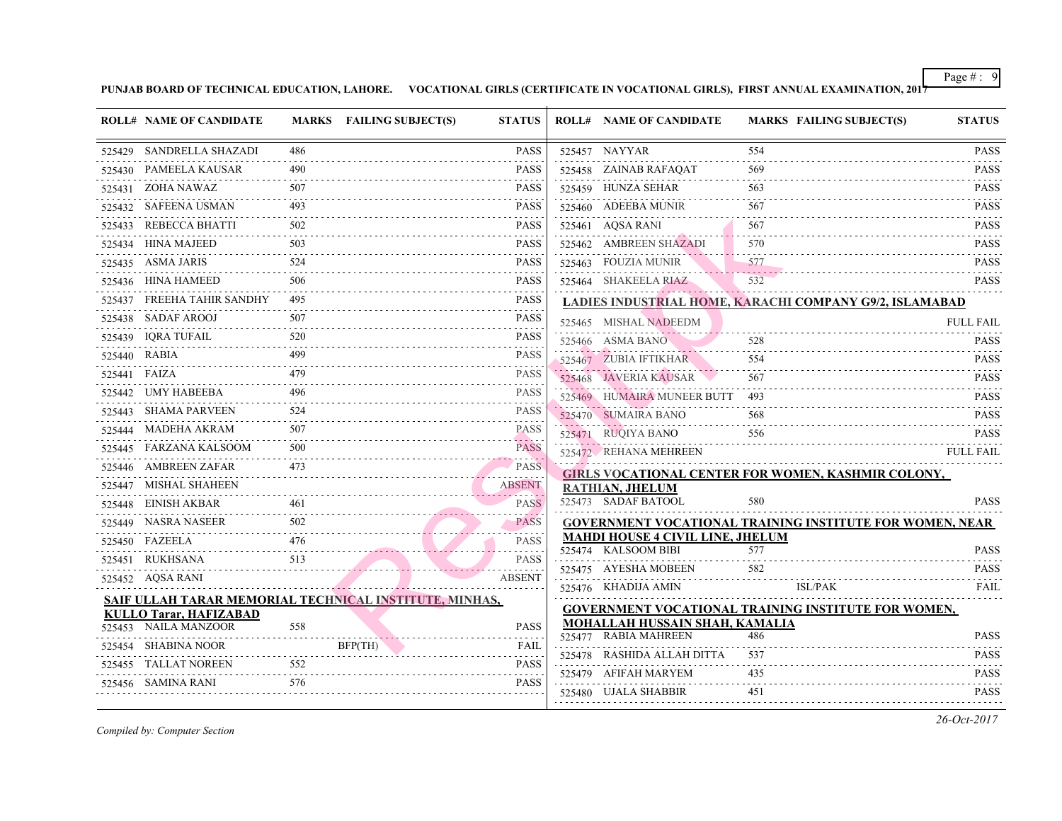|        | <b>ROLL# NAME OF CANDIDATE</b>                         |          | MARKS FAILING SUBJECT(S) | <b>STATUS</b>                                                                                                                                                                                                                                                                                                                                                                                                                                                                                              |        | <b>ROLL# NAME OF CANDIDATE</b>                                              | <b>MARKS FAIL</b> |
|--------|--------------------------------------------------------|----------|--------------------------|------------------------------------------------------------------------------------------------------------------------------------------------------------------------------------------------------------------------------------------------------------------------------------------------------------------------------------------------------------------------------------------------------------------------------------------------------------------------------------------------------------|--------|-----------------------------------------------------------------------------|-------------------|
|        | 525429 SANDRELLA SHAZADI                               | 486.     |                          | <b>PASS</b>                                                                                                                                                                                                                                                                                                                                                                                                                                                                                                |        | 525457 NAYYAR                                                               | 554               |
|        | 525430 PAMEELA KAUSAR                                  | 490      |                          | <b>PASS</b>                                                                                                                                                                                                                                                                                                                                                                                                                                                                                                |        | 525458 ZAINAB RAFAQAT                                                       | 569               |
|        | 525431 ZOHA NAWAZ                                      | 507      |                          | .<br><b>PASS</b>                                                                                                                                                                                                                                                                                                                                                                                                                                                                                           |        | 525459 HUNZA SEHAR                                                          | 563               |
|        | 525432 SAFEENA USMAN                                   | 493      |                          | <b>PASS</b>                                                                                                                                                                                                                                                                                                                                                                                                                                                                                                |        | 525460 ADEEBA MUNIR                                                         | 567               |
| 525433 | REBECCA BHATTI                                         | 502      |                          | .<br><b>PASS</b><br>$\begin{array}{cccccccccccccc} \multicolumn{2}{c}{} & \multicolumn{2}{c}{} & \multicolumn{2}{c}{} & \multicolumn{2}{c}{} & \multicolumn{2}{c}{} & \multicolumn{2}{c}{} & \multicolumn{2}{c}{} & \multicolumn{2}{c}{} & \multicolumn{2}{c}{} & \multicolumn{2}{c}{} & \multicolumn{2}{c}{} & \multicolumn{2}{c}{} & \multicolumn{2}{c}{} & \multicolumn{2}{c}{} & \multicolumn{2}{c}{} & \multicolumn{2}{c}{} & \multicolumn{2}{c}{} & \multicolumn{2}{c}{} & \multicolumn{2}{c}{} & \$ |        | 525461 AQSA RANI                                                            | 567               |
|        | 525434 HINA MAJEED                                     | 503      |                          | <b>PASS</b>                                                                                                                                                                                                                                                                                                                                                                                                                                                                                                | 525462 | AMBREEN SHAZADI                                                             | 570               |
|        | 525435 ASMA JARIS                                      | 524      |                          | <b>PASS</b><br>.                                                                                                                                                                                                                                                                                                                                                                                                                                                                                           |        | 525463 FOUZIA MUNIR                                                         | 577               |
|        | 525436 HINA HAMEED                                     | 506      |                          | <b>PASS</b>                                                                                                                                                                                                                                                                                                                                                                                                                                                                                                |        | 525464 SHAKEELA RIAZ                                                        | 532               |
|        | 525437 FREEHA TAHIR SANDHY                             | 495      |                          | <b>PASS</b><br>$- - - - -$                                                                                                                                                                                                                                                                                                                                                                                                                                                                                 |        | LADIES INDUSTRIAL HOME, KARACHI COM                                         |                   |
|        | 525438 SADAF AROOJ                                     | 507      |                          | <b>PASS</b><br>.                                                                                                                                                                                                                                                                                                                                                                                                                                                                                           |        | 525465 MISHAL NADEEDM                                                       |                   |
|        | 525439 IQRA TUFAIL                                     | 520      |                          | <b>PASS</b><br>.                                                                                                                                                                                                                                                                                                                                                                                                                                                                                           |        | 525466 ASMA BANO                                                            | 528               |
|        | 525440 RABIA                                           | 499      |                          | <b>PASS</b>                                                                                                                                                                                                                                                                                                                                                                                                                                                                                                |        | 525467 ZUBIA IFTIKHAR                                                       | 554               |
|        | 525441 FAIZA                                           | 479<br>. |                          | <b>PASS</b><br>.                                                                                                                                                                                                                                                                                                                                                                                                                                                                                           |        | 525468 JAVERIA KAUSAR                                                       | 567               |
|        | 525442 UMY HABEEBA                                     | 496      |                          | <b>PASS</b>                                                                                                                                                                                                                                                                                                                                                                                                                                                                                                |        | 525469 HUMAIRA MUNEER BUTT 493                                              |                   |
| 525443 | SHAMA PARVEEN                                          | 524      |                          | <b>PASS</b><br>.                                                                                                                                                                                                                                                                                                                                                                                                                                                                                           |        | 525470 SUMAIRA BANO                                                         | 568               |
| 525444 | MADEHA AKRAM                                           | 507      |                          | <b>PASS</b>                                                                                                                                                                                                                                                                                                                                                                                                                                                                                                |        | 525471 RUQIYA BANO                                                          | 556               |
| 525445 | FARZANA KALSOOM                                        | 500      |                          | <b>PASS</b>                                                                                                                                                                                                                                                                                                                                                                                                                                                                                                |        | 525472 REHANA MEHREEN                                                       |                   |
|        | 525446 AMBREEN ZAFAR                                   | 473      |                          | PASS                                                                                                                                                                                                                                                                                                                                                                                                                                                                                                       |        | <b>GIRLS VOCATIONAL CENTER FOR WOMEN</b>                                    |                   |
|        | 525447 MISHAL SHAHEEN                                  |          |                          | <b>ABSENT</b><br>2000 - 2000 -                                                                                                                                                                                                                                                                                                                                                                                                                                                                             |        | <b>RATHIAN, JHELUM</b>                                                      |                   |
|        | 525448 EINISH AKBAR                                    | 461      |                          | <b>PASS</b>                                                                                                                                                                                                                                                                                                                                                                                                                                                                                                |        | 525473 SADAF BATOOL                                                         | 580               |
|        | 525449 NASRA NASEER                                    | 502      |                          | <b>PASS</b>                                                                                                                                                                                                                                                                                                                                                                                                                                                                                                |        | <b>GOVERNMENT VOCATIONAL TRAINING IN:</b>                                   |                   |
|        | 525450 FAZEELA                                         | 476      |                          | .<br><b>PASS</b><br>$\omega_{\alpha}=\omega_{\alpha}=\omega_{\alpha}$                                                                                                                                                                                                                                                                                                                                                                                                                                      |        | <b>MAHDI HOUSE 4 CIVIL LINE, JHELUM</b><br>525474 KALSOOM BIBI              | 577               |
|        | 525451 RUKHSANA                                        | 513      |                          | <b>PASS</b>                                                                                                                                                                                                                                                                                                                                                                                                                                                                                                |        | 525475 AYESHA MOBEEN                                                        | 582               |
|        | 525452 AQSA RANI                                       |          |                          | <b>ABSENT</b>                                                                                                                                                                                                                                                                                                                                                                                                                                                                                              |        |                                                                             | ISL/P             |
|        | SAIF ULLAH TARAR MEMORIAL TECHNICAL INSTITUTE, MINHAS, |          |                          |                                                                                                                                                                                                                                                                                                                                                                                                                                                                                                            |        | 525476 KHADIJA AMIN                                                         |                   |
|        | <b>KULLO Tarar, HAFIZABAD</b>                          |          |                          |                                                                                                                                                                                                                                                                                                                                                                                                                                                                                                            |        | <b>GOVERNMENT VOCATIONAL TRAINING IN:</b><br>MOHALLAH HUSSAIN SHAH, KAMALIA |                   |
|        | 525453 NAILA MANZOOR                                   | 558      |                          | <b>PASS</b>                                                                                                                                                                                                                                                                                                                                                                                                                                                                                                |        | 525477 RABIA MAHREEN                                                        | 486               |
|        | 525454 SHABINA NOOR                                    |          | BFP(TH)                  | FAIL<br>.                                                                                                                                                                                                                                                                                                                                                                                                                                                                                                  |        | 525478 RASHIDA ALLAH DITTA                                                  | 537               |
|        | 525455 TALLAT NOREEN<br>.                              | 552      |                          | <b>PASS</b><br>$- - - - - -$                                                                                                                                                                                                                                                                                                                                                                                                                                                                               |        | 525479 AFIFAH MARYEM                                                        | 435               |
|        | 525456 SAMINA RANI                                     | 576      |                          | <b>PASS</b>                                                                                                                                                                                                                                                                                                                                                                                                                                                                                                |        | 525480 UJALA SHABBIR                                                        | 451               |
|        |                                                        |          |                          |                                                                                                                                                                                                                                                                                                                                                                                                                                                                                                            |        |                                                                             |                   |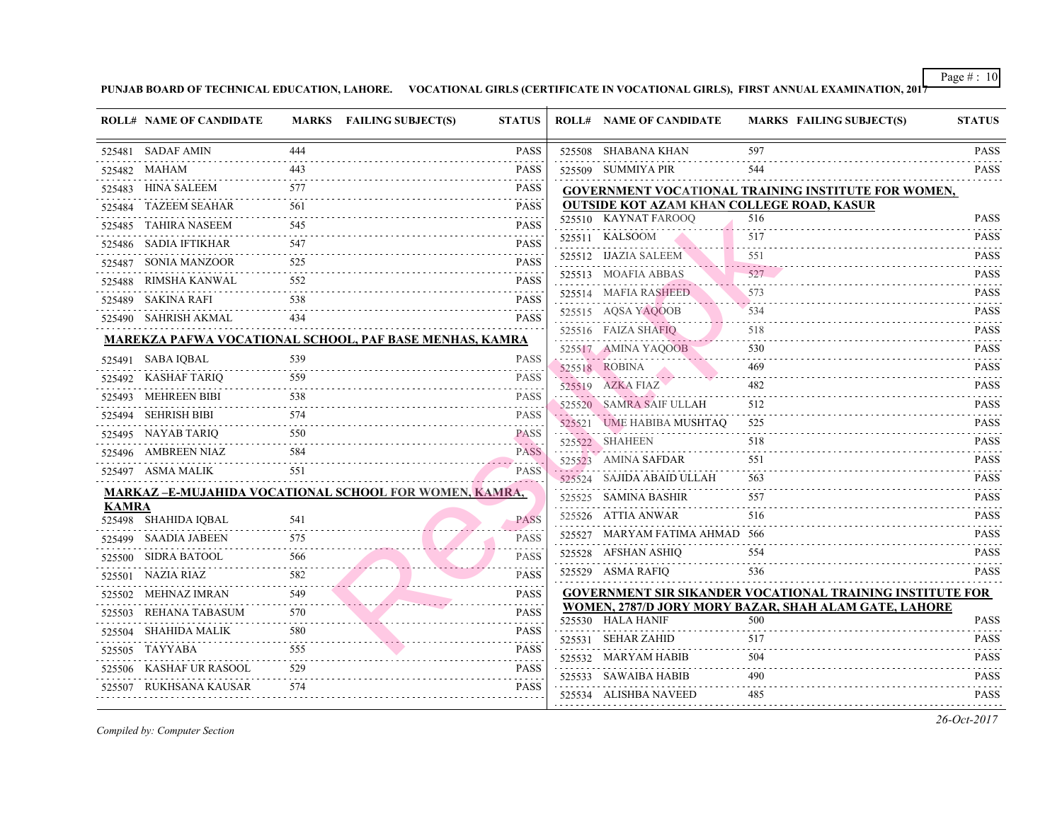|              | <b>ROLL# NAME OF CANDIDATE</b> |                                      | MARKS FAILING SUBJECT(S)                                       | <b>STATUS</b>       | <b>ROLL# NAME OF CANDIDATE</b>                             | <b>MARKS FAIL</b> |
|--------------|--------------------------------|--------------------------------------|----------------------------------------------------------------|---------------------|------------------------------------------------------------|-------------------|
|              | 525481 SADAF AMIN              | 444                                  |                                                                | PASS                | 525508 SHABANA KHAN                                        | 597               |
|              | 525482 MAHAM                   | 443<br>2.2.2.2.2                     |                                                                | PASS                | 525509 SUMMIYA PIR                                         | 544               |
|              | 525483 HINA SALEEM             | 577                                  |                                                                | <b>PASS</b><br>.    | <b>GOVERNMENT VOCATIONAL TRAINING IN:</b>                  |                   |
|              | 525484 TAZEEM SEAHAR           | 561                                  |                                                                | <b>PASS</b>         | <b>OUTSIDE KOT AZAM KHAN COLLEGE ROAL</b>                  |                   |
|              | 525485 TAHIRA NASEEM           | 545                                  |                                                                | PASS                | 525510 KAYNAT FAROOQ                                       | 516               |
|              | 525486 SADIA IFTIKHAR          | 547                                  |                                                                | <b>PASS</b>         | 525511 KALSOOM                                             | 517               |
|              | 525487 SONIA MANZOOR           | 525                                  |                                                                | <b>PASS</b>         | 525512 IJAZIA SALEEM                                       | 551               |
|              | 525488 RIMSHA KANWAL           | 552                                  |                                                                | <b>PASS</b>         | 525513 MOAFIA ABBAS                                        | 527               |
|              | 525489 SAKINA RAFI             | .<br>538                             |                                                                | <b>PASS</b>         | 525514 MAFIA RASHEED                                       | 573               |
|              | 525490 SAHRISH AKMAL           | 434                                  |                                                                | <b>PASS</b>         | 525515 AQSA YAQOOB                                         | 534               |
|              |                                |                                      | <b>MAREKZA PAFWA VOCATIONAL SCHOOL, PAF BASE MENHAS, KAMRA</b> |                     | 525516 FAIZA SHAFIQ                                        | 518               |
|              | 525491 SABA IQBAL              | 539                                  |                                                                | <b>PASS</b>         | 525517 AMINA YAQOOB                                        | 530               |
|              | 525492 KASHAF TARIQ            | 559                                  |                                                                | <b>PASS</b>         | 525518 ROBINA                                              | 469               |
|              | 525493 MEHREEN BIBI            | 538                                  |                                                                | <b>PASS</b>         | 525519 AZKA FIAZ                                           | 482               |
|              | 525494 SEHRISH BIBI            | .<br>574                             |                                                                | .<br><b>PASS</b>    | 525520 SAMRA SAIF ULLAH                                    | 512               |
|              |                                |                                      |                                                                | .                   | 525521 UME HABIBA MUSHTAQ<br><u> De este estableci</u> a e | 525               |
|              | 525495 NAYAB TARIQ             | 550                                  |                                                                | PASS<br>and a state | 525522 SHAHEEN                                             | 518               |
|              | 525496 AMBREEN NIAZ            | 584                                  | . <b>.</b>                                                     | <b>PASS</b>         | 525523 AMINA SAFDAR                                        | 551               |
|              | 525497 ASMA MALIK              | 551                                  | <b>The company's</b>                                           | <b>PASS</b>         | 525524 SAJIDA ABAID ULLAH                                  | 563               |
|              |                                |                                      | <b>MARKAZ -E-MUJAHIDA VOCATIONAL SCHOOL FOR WOMEN, KAMRA,</b>  |                     | 525525 SAMINA BASHIR                                       | 557               |
| <b>KAMRA</b> | 525498 SHAHIDA IQBAL           | 541                                  |                                                                | <b>PASS</b>         | 525526 ATTIA ANWAR                                         | 516               |
|              | 525499 SAADIA JABEEN           | 575                                  |                                                                | <b>PASS</b>         | 525527 MARYAM FATIMA AHMAD 566                             |                   |
|              | 525500 SIDRA BATOOL            | $\omega$ is a set of $\omega$<br>566 |                                                                | <b>PASS</b>         | 525528 AFSHAN ASHIQ                                        | 554               |
|              | 525501 NAZIA RIAZ              | 582                                  |                                                                | <b>PASS</b>         | 525529 ASMA RAFIQ                                          | 536               |
|              | .<br>525502 MEHNAZ IMRAN       | 549                                  |                                                                | <b>PASS</b>         | <b>GOVERNMENT SIR SIKANDER VOCATIONA</b>                   |                   |
|              | 525503 REHANA TABASUM          | 570                                  |                                                                | <b>PASS</b>         | WOMEN, 2787/D JORY MORY BAZAR, SHAH                        |                   |
|              | 525504 SHAHIDA MALIK           | .<br>580                             |                                                                | <b>PASS</b>         | 525530 HALA HANIF                                          | 500               |
|              | 525505 TAYYABA                 | .<br>555                             |                                                                | <b>PASS</b>         | 525531 SEHAR ZAHID                                         | 517               |
|              | 525506 KASHAF UR RASOOL        | 529                                  |                                                                | PASS                | 525532 MARYAM HABIB                                        | 504               |
|              | 525507 RUKHSANA KAUSAR         | and a state<br>574                   |                                                                | .<br><b>PASS</b>    | 525533 SAWAIBA HABIB                                       | 490               |
|              |                                |                                      |                                                                |                     | 525534 ALISHBA NAVEED                                      | 485               |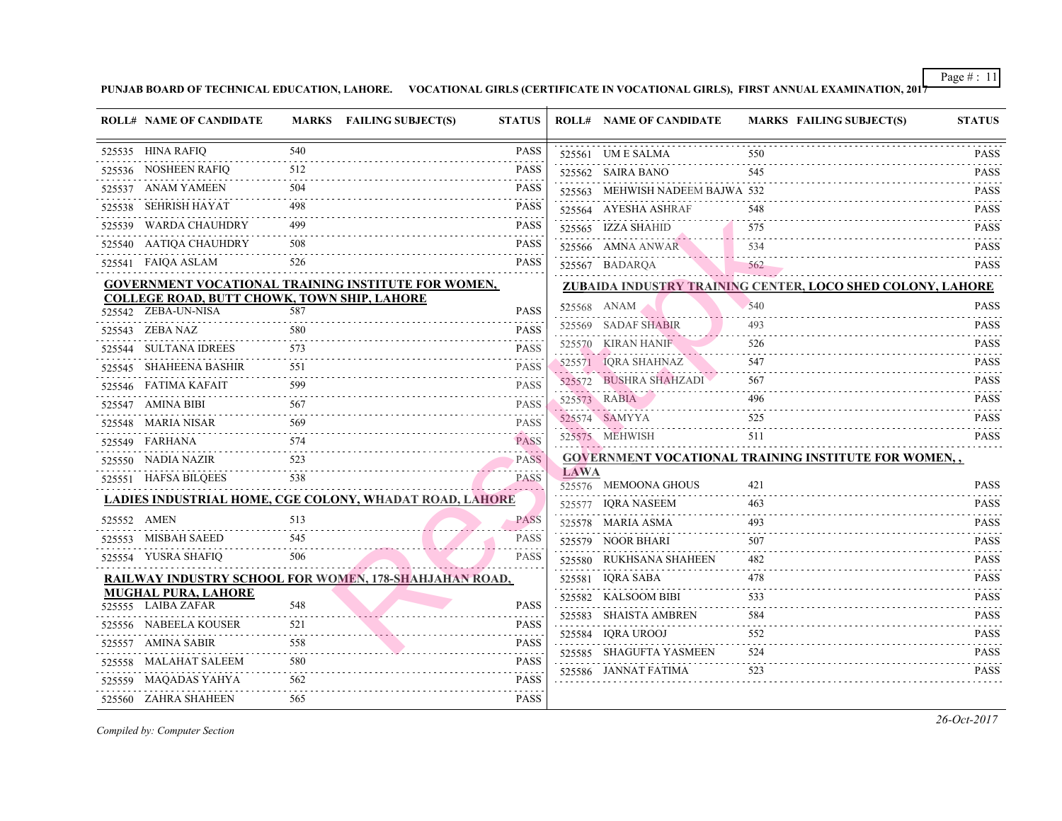|   | <b>ROLL# NAME OF CANDIDATE</b>                                     |          | <b>MARKS</b> FAILING SUBJECT(S)                            | <b>STATUS</b>                            |             | <b>ROLL# NAME OF CANDIDATE</b>            | <b>MARKS FAIL</b> |
|---|--------------------------------------------------------------------|----------|------------------------------------------------------------|------------------------------------------|-------------|-------------------------------------------|-------------------|
|   | 525535 HINA RAFIQ                                                  | 540      |                                                            | <b>PASS</b>                              |             | 525561 UM E SALMA                         | 550               |
|   | 525536 NOSHEEN RAFIQ                                               | 512      |                                                            | PASS<br>.                                |             | 525562 SAIRA BANO                         | .<br>545          |
|   | 525537 ANAM YAMEEN                                                 | 504      |                                                            | <b>PASS</b><br>.                         |             | 525563 MEHWISH NADEEM BAJWA 532           |                   |
|   | 525538 SEHRISH HAYAT                                               | 498      |                                                            | <b>PASS</b>                              |             | 525564 AYESHA ASHRAF                      | 548               |
|   | 525539 WARDA CHAUHDRY                                              | 499      |                                                            | <b>PASS</b>                              |             | 525565 IZZA SHAHID                        | 575               |
|   | 525540 AATIQA CHAUHDRY                                             | 508      |                                                            | <b>PASS</b>                              |             | 525566 AMNA ANWAR                         | 534               |
|   | 525541 FAIQA ASLAM                                                 | 526      |                                                            | <b>PASS</b>                              |             | 525567 BADARQA                            | 562               |
|   |                                                                    |          | <b>GOVERNMENT VOCATIONAL TRAINING INSTITUTE FOR WOMEN,</b> |                                          |             | ZUBAIDA INDUSTRY TRAINING CENTER, LO      |                   |
|   | COLLEGE ROAD, BUTT CHOWK, TOWN SHIP, LAHORE<br>525542 ZEBA-UN-NISA | 587      |                                                            | <b>PASS</b>                              |             | 525568 ANAM                               | 540               |
|   | 525543 ZEBA NAZ                                                    | 580      |                                                            | <b>PASS</b>                              |             | 525569 SADAF SHABIR                       | 493               |
| . | 525544 SULTANA IDREES                                              | 573      |                                                            | 2.1233333333<br><b>PASS</b>              |             | 525570 KIRAN HANIF                        | 526               |
|   | 525545 SHAHEENA BASHIR                                             | 551      |                                                            | $\omega$ is a second set<br><b>PASS</b>  |             | 525571 IQRA SHAHNAZ                       | 547               |
|   | 525546 FATIMA KAFAIT                                               | 599      |                                                            | <b>PASS</b>                              |             | 525572 BUSHRA SHAHZADI                    | 567               |
|   | 525547 AMINA BIBI                                                  | 567      |                                                            | <b>PASS</b>                              |             | 525573 RABIA                              | 496               |
|   | 525548 MARIA NISAR                                                 | 569      |                                                            | .<br><b>PASS</b>                         |             | 525574 SAMYYA                             | 525               |
|   | 525549 FARHANA                                                     | 574      |                                                            | <b>PASS</b>                              |             | 525575 MEHWISH                            | 511               |
|   | 525550 NADIA NAZIR                                                 |          |                                                            | and a state<br><b>PASS</b>               |             | <b>GOVERNMENT VOCATIONAL TRAINING IN:</b> |                   |
|   | 525551 HAFSA BILQEES                                               | 538      |                                                            | . . <i>. .</i> . <i>.</i><br><b>PASS</b> | <b>LAWA</b> |                                           |                   |
|   |                                                                    |          |                                                            |                                          |             | 525576 MEMOONA GHOUS                      | 421               |
|   |                                                                    |          | LADIES INDUSTRIAL HOME, CGE COLONY, WHADAT ROAD, LAHORE    |                                          |             | 525577 IQRA NASEEM                        | 463               |
|   | 525552 AMEN<br>.                                                   | 513      |                                                            | <b>PASS</b><br>. . <i>. .</i>            |             | 525578 MARIA ASMA                         | 493               |
|   | 525553 MISBAH SAEED                                                | 545      |                                                            | <b>PASS</b>                              |             | 525579 NOOR BHARI                         | 507               |
|   | 525554 YUSRA SHAFIQ                                                | 506      |                                                            | <b>PASS</b>                              | .           | 525580 RUKHSANA SHAHEEN                   | 482               |
|   |                                                                    |          | RAILWAY INDUSTRY SCHOOL FOR WOMEN, 178-SHAHJAHAN ROAD,     |                                          |             | 525581 IQRA SABA                          | 478               |
|   | <b>MUGHAL PURA, LAHORE</b><br>525555 LAIBA ZAFAR                   | 548      |                                                            | <b>PASS</b>                              |             | 525582 KALSOOM BIBI                       | 533               |
|   | 525556 NABEELA KOUSER                                              | 521      |                                                            | PASS                                     | .           | 525583 SHAISTA AMBREN                     | 584               |
|   | 525557 AMINA SABIR                                                 | 558      |                                                            | 2.2.2.2.2<br><b>PASS</b>                 |             | 525584 IQRA UROOJ                         | 552               |
|   | 525558 MALAHAT SALEEM                                              | 580      |                                                            | $-1 - 1 - 1 - 1$<br><b>PASS</b>          |             | 525585 SHAGUFTA YASMEEN                   | 524               |
|   | 525559 MAQADAS YAHYA                                               | 562      |                                                            | 2.2.2.2.2<br>PASS                        |             | 525586 JANNAT FATIMA                      | 523               |
|   | 525560 ZAHRA SHAHEEN                                               | .<br>565 |                                                            | .<br><b>PASS</b>                         |             |                                           |                   |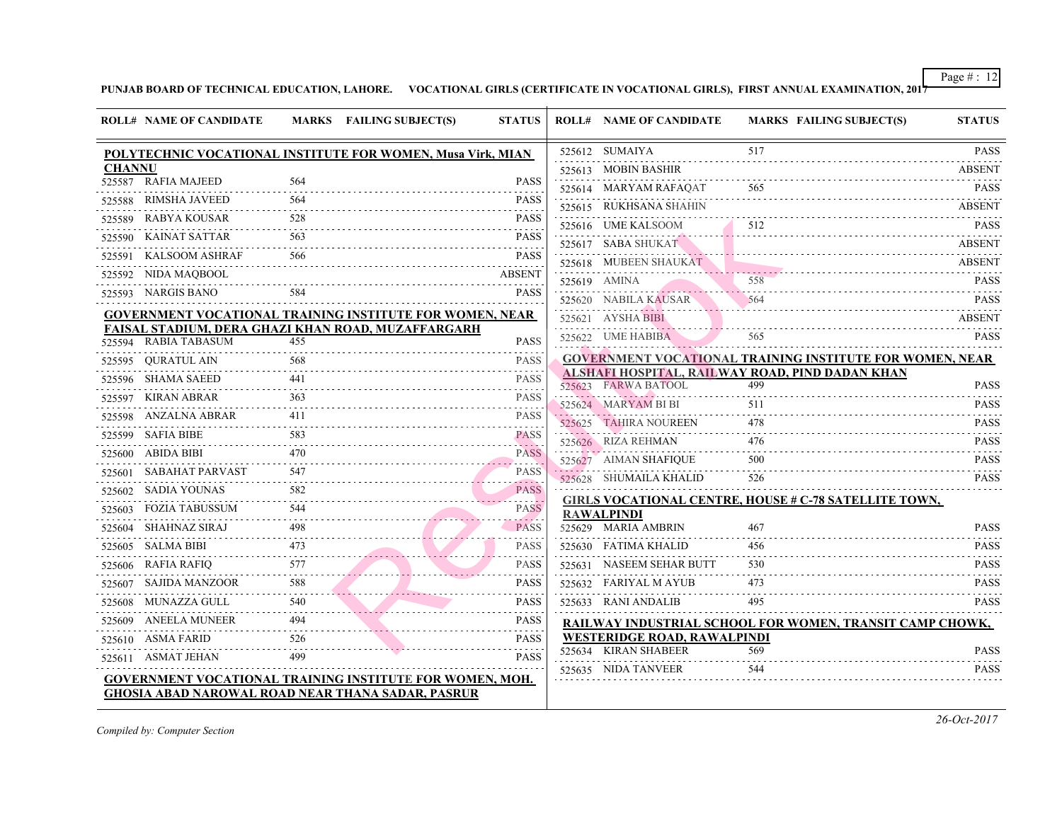|               | <b>ROLL# NAME OF CANDIDATE</b>                   |     | MARKS FAILING SUBJECT(S)                                                                                              | <b>STATUS</b>                      | <b>ROLL# NAME OF CANDIDATE</b>                                                    | <b>MARKS FAIL</b> |
|---------------|--------------------------------------------------|-----|-----------------------------------------------------------------------------------------------------------------------|------------------------------------|-----------------------------------------------------------------------------------|-------------------|
|               |                                                  |     | POLYTECHNIC VOCATIONAL INSTITUTE FOR WOMEN, Musa Virk, MIAN                                                           |                                    | 525612 SUMAIYA                                                                    | 517               |
| <b>CHANNU</b> |                                                  |     |                                                                                                                       |                                    | 525613 MOBIN BASHIR                                                               |                   |
|               | 525587 RAFIA MAJEED                              | 564 |                                                                                                                       | <b>PASS</b>                        | 525614 MARYAM RAFAQAT                                                             |                   |
|               | 525588 RIMSHA JAVEED                             |     |                                                                                                                       | <b>PASS</b>                        | 525615 RUKHSANA SHAHIN                                                            |                   |
|               | 525589 RABYA KOUSAR                              | 528 |                                                                                                                       | <b>PASS</b><br>$- - - - -$         | 525616 UME KALSOOM                                                                | 512               |
|               | 525590 KAINAT SATTAR                             | 563 |                                                                                                                       | <b>PASS</b><br>and a strategic and | 525617 SABA SHUKAT                                                                |                   |
|               | 525591 KALSOOM ASHRAF                            | 566 |                                                                                                                       | <b>PASS</b>                        | 525618 MUBEEN SHAUKAT                                                             |                   |
|               | 525592 NIDA MAQBOOL                              |     |                                                                                                                       | <b>ABSENT</b>                      | 525619 AMINA                                                                      | 558               |
|               | 525593 NARGIS BANO                               | 584 |                                                                                                                       | <b>PASS</b>                        | 525620 NABILA KAUSAR                                                              | 564               |
|               |                                                  |     | <b>GOVERNMENT VOCATIONAL TRAINING INSTITUTE FOR WOMEN, NEAR</b>                                                       |                                    | 525621 AYSHA BIBI                                                                 |                   |
|               |                                                  |     | FAISAL STADIUM, DERA GHAZI KHAN ROAD, MUZAFFARGARH                                                                    |                                    | 525622 UME HABIBA                                                                 | 565               |
|               | 525594 RABIA TABASUM                             | 455 |                                                                                                                       | <b>PASS</b>                        |                                                                                   |                   |
|               | 525595 QURATUL AIN                               |     |                                                                                                                       | <b>PASS</b><br>$- - - - -$         | <b>GOVERNMENT VOCATIONAL TRAINING IN:</b><br>ALSHAFI HOSPITAL, RAILWAY ROAD, PIND |                   |
|               | 525596 SHAMA SAEED                               | 441 |                                                                                                                       | <b>PASS</b><br>- - - - -           | 525623 FARWA BATOOL                                                               | 499               |
|               | 525597 KIRAN ABRAR                               |     |                                                                                                                       | <b>PASS</b>                        | 525624 MARYAM BI BI                                                               | 511               |
|               | 525598 ANZALNA ABRAR<br>525598 ANZALNA ABRAR 411 | 411 |                                                                                                                       | <b>PASS</b>                        | 525625 TAHIRA NOUREEN                                                             | 478               |
|               | 525599 SAFIA BIBE                                |     |                                                                                                                       | <b>PASS</b><br>200 L 20            | 525626 RIZA REHMAN                                                                | 476               |
|               | 525600 ABIDA BIBI                                | 470 |                                                                                                                       | <b>PASS</b>                        | 525627 AIMAN SHAFIQUE                                                             | 500               |
|               | 525601 SABAHAT PARVAST                           | 547 | <u> 1988 - Passau Barrison, passau passau passau passau passau passau passau passau passau passau passau passau p</u> | <b>PASS</b>                        | 525628 SHUMAILA KHALID                                                            | 526               |
|               | 525602 SADIA YOUNAS                              |     |                                                                                                                       | <b>PASS</b>                        |                                                                                   |                   |
|               | 525603 FOZIA TABUSSUM                            | 544 |                                                                                                                       | . <i>.</i> .<br><b>PASS</b>        | <b>GIRLS VOCATIONAL CENTRE, HOUSE # C-78</b><br><b>RAWALPINDI</b>                 |                   |
|               | 525604 SHAHNAZ SIRAJ                             |     |                                                                                                                       | -----<br><b>PASS</b>               | 525629 MARIA AMBRIN                                                               | 467               |
|               | 525605 SALMA BIBI                                |     |                                                                                                                       | <b>PASS</b>                        | 525630 FATIMA KHALID                                                              | 456               |
|               | 577<br>525606 RAFIA RAFIQ                        |     |                                                                                                                       | <b>PASS</b>                        | 525631 NASEEM SEHAR BUTT                                                          | 530               |
|               | 525607 SAJIDA MANZOOR                            | 588 |                                                                                                                       | <b>PASS</b>                        | 525632 FARIYAL M AYUB                                                             | 473               |
|               | 525608 MUNAZZA GULL                              | 540 |                                                                                                                       | <b>PASS</b>                        | 525633 RANI ANDALIB                                                               | 495               |
| .             | 525609 ANEELA MUNEER                             |     |                                                                                                                       | <b>PASS</b>                        | RAILWAY INDUSTRIAL SCHOOL FOR WOM                                                 |                   |
|               | 525610 ASMA FARID                                | 526 |                                                                                                                       | <b>PASS</b>                        | WESTERIDGE ROAD, RAWALPINDI                                                       |                   |
|               | 525611 ASMAT JEHAN                               |     |                                                                                                                       | <b>PASS</b>                        | 525634 KIRAN SHABEER                                                              | 569               |
|               |                                                  |     | <b>GOVERNMENT VOCATIONAL TRAINING INSTITUTE FOR WOMEN, MOH.</b>                                                       |                                    | 525635 NIDA TANVEER                                                               | 544               |
|               |                                                  |     | <b>GHOSIA ABAD NAROWAL ROAD NEAR THANA SADAR, PASRUR</b>                                                              |                                    |                                                                                   |                   |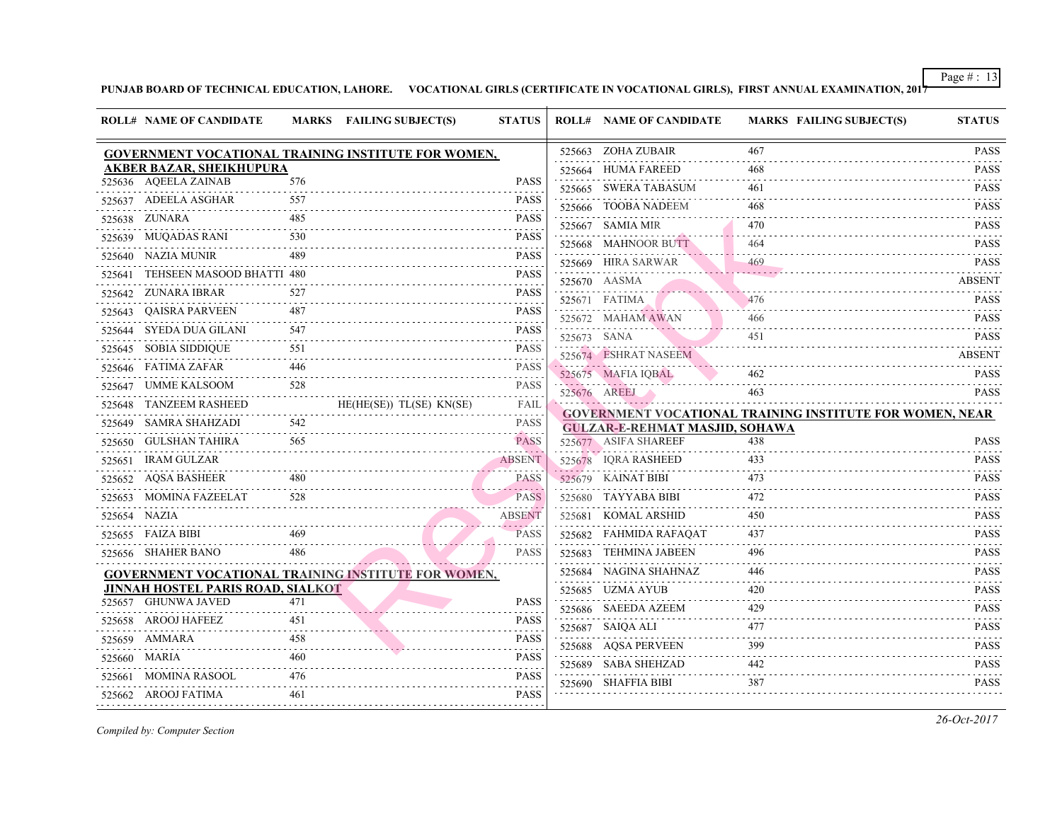| <b>ROLL# NAME OF CANDIDATE</b>           |     | <b>MARKS</b> FAILING SUBJECT(S)                            | <b>STATUS</b>                       |             | <b>ROLL# NAME OF CANDIDATE</b>                                                                                                | <b>MARKS FAIL</b> |
|------------------------------------------|-----|------------------------------------------------------------|-------------------------------------|-------------|-------------------------------------------------------------------------------------------------------------------------------|-------------------|
|                                          |     | <b>GOVERNMENT VOCATIONAL TRAINING INSTITUTE FOR WOMEN,</b> |                                     |             | 525663 ZOHA ZUBAIR                                                                                                            | 467               |
| <b>AKBER BAZAR, SHEIKHUPURA</b>          |     |                                                            |                                     |             | 525664 HUMA FAREED                                                                                                            | 468               |
| 525636 AQEELA ZAINAB                     | 576 |                                                            | <b>PASS</b>                         |             | 525665 SWERA TABASUM                                                                                                          | 461               |
| 525637 ADEELA ASGHAR                     | 557 |                                                            | <b>PASS</b>                         |             | 525666 TOOBA NADEEM                                                                                                           | 468               |
| 525638 ZUNARA                            | 485 |                                                            | <b>PASS</b>                         |             | 525667 SAMIA MIR                                                                                                              | 470               |
| 525639 MUQADAS RANI 530                  |     |                                                            | <b>PASS</b>                         |             | 525668 MAHNOOR BUTT                                                                                                           | 464               |
| 525640 NAZIA MUNIR                       | 489 |                                                            | <b>PASS</b><br>.                    |             | 525669 HIRA SARWAR                                                                                                            | 469               |
| 525641 TEHSEEN MASOOD BHATTI 480         |     |                                                            | <b>PASS</b>                         |             | 525670 AASMA                                                                                                                  |                   |
| 525642 ZUNARA IBRAR                      | 527 |                                                            | <b>PASS</b>                         |             | $525670$ $AASMA$<br>525671 FATIMA                                                                                             | 476               |
| 525643 QAISRA PARVEEN<br>.               | 487 |                                                            | <b>PASS</b>                         |             | 525672 MAHAM AWAN                                                                                                             | 466               |
| 525644 SYEDA DUA GILANI 547              |     |                                                            | <b>PASS</b>                         | 525673 SANA |                                                                                                                               | 451               |
| 525645 SOBIA SIDDIQUE<br>E 551<br>.      | 551 |                                                            | <b>PASS</b>                         |             | 525674 ESHRAT NASEEM                                                                                                          |                   |
| 525646 FATIMA ZAFAR<br>446               |     |                                                            | <b>PASS</b>                         |             | 525675 MAFIA IOBAL                                                                                                            | 462               |
| .<br>525647 UMME KALSOOM                 | 528 |                                                            | .<br><b>PASS</b>                    |             | 2002 - Personal Propinsi Propinsi Propinsi Propinsi Propinsi Propinsi Propinsi Propinsi Propinsi Propinsi Pro<br>525676 AREEJ | 463               |
| 525648 TANZEEM RASHEED                   |     | $HE(HE(SE))$ $TL(SE)$ $KN(SE)$                             | .<br>FAIL                           |             | <u>ga sa kacamatan na kasana na ma</u>                                                                                        |                   |
| 525649 SAMRA SHAHZADI                    | 542 |                                                            | $\omega$ is a set of<br><b>PASS</b> |             | <b>GOVERNMENT VOCATIONAL TRAINING IN:</b><br><b>GULZAR-E-REHMAT MASJID, SOHAWA</b>                                            |                   |
| .<br>525650 GULSHAN TAHIRA               | 565 |                                                            | المتحاطفات<br><b>PASS</b>           |             | 525677 ASIFA SHAREEF                                                                                                          | 438               |
| 525651 IRAM GULZAR                       |     |                                                            | ABSENT                              |             | 525678 IQRA RASHEED                                                                                                           | 433               |
| 525652 AQSA BASHEER                      | 480 |                                                            | <b>PASS</b>                         |             | 525679 KAINAT BIBI                                                                                                            | 473               |
| 525653 MOMINA FAZEELAT                   | 528 |                                                            | <b>PASS</b>                         |             | 525680 TAYYABA BIBI                                                                                                           | 472               |
| 525654 NAZIA                             |     |                                                            | <b>ABSENT</b>                       |             | 525681 KOMAL ARSHID                                                                                                           | 450               |
| 525655 FAIZA BIBI                        |     | $\frac{469}{256}$                                          | . <i>. .</i><br><b>PASS</b>         |             | 525682 FAHMIDA RAFAQAT                                                                                                        | 437               |
| 525656 SHAHER BANO                       | 486 |                                                            | <b>PASS</b>                         |             | 525683 TEHMINA JABEEN                                                                                                         | 496               |
|                                          |     | <b>GOVERNMENT VOCATIONAL TRAINING INSTITUTE FOR WOMEN,</b> |                                     |             | 525684 NAGINA SHAHNAZ                                                                                                         | 446               |
| <b>JINNAH HOSTEL PARIS ROAD, SIALKOT</b> |     |                                                            |                                     |             | 525685 UZMA AYUB                                                                                                              | 420               |
| 525657 GHUNWA JAVED                      | 471 |                                                            | <b>PASS</b>                         |             | 525686 SAEEDA AZEEM                                                                                                           | 429               |
| 525658 AROOJ HAFEEZ<br>.                 | 451 |                                                            | <b>PASS</b><br>.                    |             | 525687 SAIQA ALI                                                                                                              | 477               |
| 525659 AMMARA                            | 458 |                                                            | <b>PASS</b>                         |             | 525688 AQSA PERVEEN                                                                                                           | 399               |
| 525660 MARIA                             | 460 |                                                            | <b>PASS</b>                         |             | 525689 SABA SHEHZAD                                                                                                           | 442               |
| 525661 MOMINA RASOOL                     | 476 |                                                            | $- - - - - -$<br><b>PASS</b>        |             | 525690 SHAFFIA BIBI                                                                                                           | 387               |
| 525662 AROOJ FATIMA                      | 461 | 525662 AROOJ FATIMA      461                 PASS          | <b>PASS</b>                         |             |                                                                                                                               |                   |
|                                          |     |                                                            |                                     |             |                                                                                                                               |                   |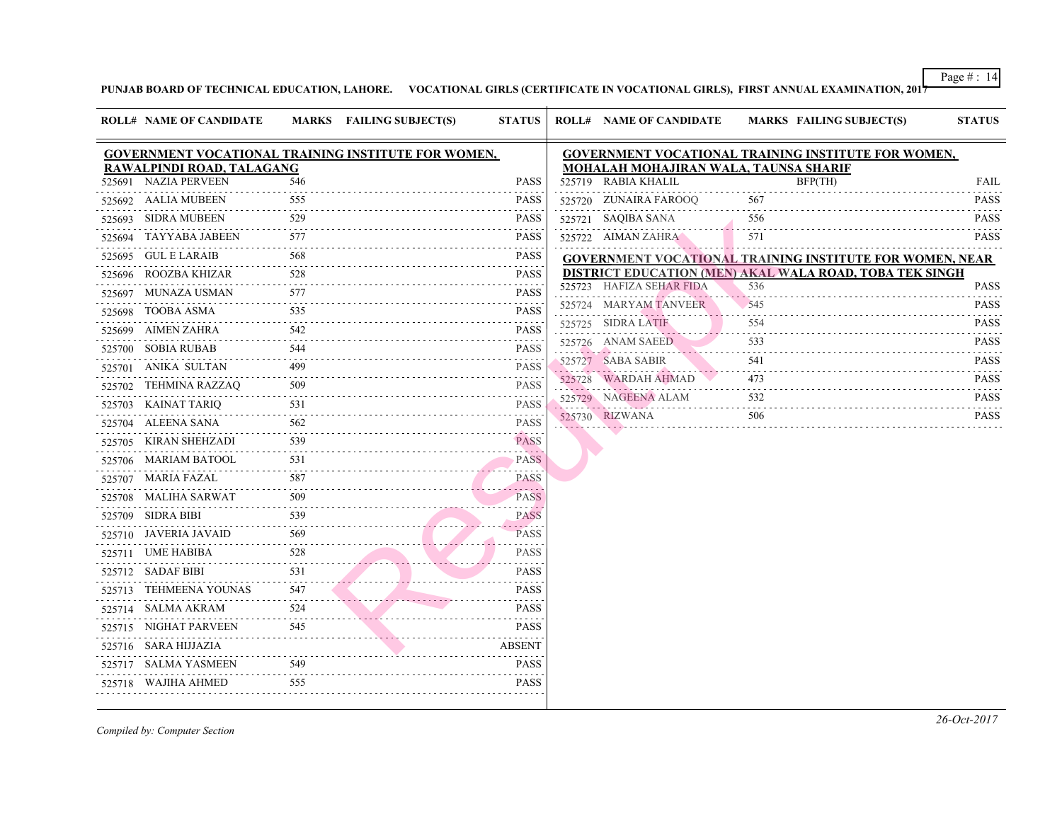|        | <b>ROLL# NAME OF CANDIDATE</b> |     | MARKS FAILING SUBJECT(S)                            | <b>STATUS</b>                                            |        | <b>ROLL# NAME OF CANDIDATE</b>            | <b>MARKS FAIL</b> |
|--------|--------------------------------|-----|-----------------------------------------------------|----------------------------------------------------------|--------|-------------------------------------------|-------------------|
|        |                                |     | GOVERNMENT VOCATIONAL TRAINING INSTITUTE FOR WOMEN, |                                                          |        | <b>GOVERNMENT VOCATIONAL TRAINING IN:</b> |                   |
|        | RAWALPINDI ROAD, TALAGANG      |     |                                                     |                                                          |        | MOHALAH MOHAJIRAN WALA, TAUNSA SH         |                   |
|        | 525691 NAZIA PERVEEN<br>.      | 546 |                                                     | <b>PASS</b>                                              |        | 525719 RABIA KHALIL                       | BFP(              |
|        | 525692 AALIA MUBEEN            | 555 |                                                     | <b>PASS</b>                                              |        | 525720 ZUNAIRA FAROOQ                     | 567               |
|        | 525693 SIDRA MUBEEN            | 529 |                                                     | <b>PASS</b>                                              |        | 525721 SAQIBA SANA                        | 556               |
|        | 525694 TAYYABA JABEEN          | 577 |                                                     | <b>PASS</b>                                              |        | 525722 AIMAN ZAHRA                        | 571               |
|        | 525695 GUL E LARAIB            | 568 |                                                     | <b>PASS</b>                                              |        | <b>GOVERNMENT VOCATIONAL TRAINING IN:</b> |                   |
|        | 525696 ROOZBA KHIZAR           | 528 |                                                     | <b>PASS</b>                                              |        | DISTRICT EDUCATION (MEN) AKAL WALA        |                   |
|        | 525697 MUNAZA USMAN            | 577 |                                                     | <b>PASS</b>                                              | 525723 | HAFIZA SEHAR FIDA                         | 536               |
| 525698 | TOOBA ASMA                     | 535 |                                                     | <b>PASS</b>                                              |        | 525724 MARYAM TANVEER                     | 545               |
| 525699 | AIMEN ZAHRA                    | 542 |                                                     | <b>PASS</b>                                              |        | 525725 SIDRA LATIF                        | 554               |
|        | 525700 SOBIA RUBAB             | 544 |                                                     | $- - - - - - - -$<br><b>PASS</b>                         |        | 525726 ANAM SAEED<br>. <b>.</b>           | 533               |
|        | 525701 ANIKA SULTAN            | 499 |                                                     | <b>PASS</b>                                              |        | 525727 SABA SABIR                         | 541<br>$   -$     |
| 525702 | TEHMINA RAZZAQ                 | 509 |                                                     | <b>PASS</b>                                              |        | 525728 WARDAH AHMAD                       | 473               |
|        | 525703 KAINAT TARIQ            | 531 |                                                     | .<br><b>PASS</b>                                         |        | 525729 NAGEENA ALAM                       | 532               |
|        | 525704 ALEENA SANA             | 562 |                                                     | .<br><b>PASS</b>                                         |        | 525730 RIZWANA                            | 506               |
|        | 525705 KIRAN SHEHZADI          | 539 |                                                     | <b>PASS</b>                                              |        |                                           |                   |
|        | 525706 MARIAM BATOOL           | 531 |                                                     | and a single<br><b>PASS</b>                              |        |                                           |                   |
|        | 525707 MARIA FAZAL             | 587 |                                                     | . <i>.</i><br><b>PASS</b>                                |        |                                           |                   |
|        | 525708 MALIHA SARWAT           | 509 |                                                     | $\alpha$ , $\alpha$ , $\alpha$ , $\alpha$<br><b>PASS</b> |        |                                           |                   |
|        | 525709 SIDRA BIBI              | 539 |                                                     | <b>PASS</b>                                              |        |                                           |                   |
|        | 525710 JAVERIA JAVAID          | 569 |                                                     | <b>Sandwich</b><br><b>PASS</b>                           |        |                                           |                   |
|        | 525711 UME HABIBA              | 528 |                                                     | <b>PASS</b>                                              |        |                                           |                   |
|        | 525712 SADAF BIBI              | 531 |                                                     | <b>PASS</b>                                              |        |                                           |                   |
| 525713 | TEHMEENA YOUNAS                | 547 |                                                     | <b>PASS</b>                                              |        |                                           |                   |
|        | 525714 SALMA AKRAM             | 524 |                                                     | <b>PASS</b>                                              |        |                                           |                   |
|        | 525715 NIGHAT PARVEEN          | 545 |                                                     | <b>PASS</b>                                              |        |                                           |                   |
|        | 525716 SARA HIJJAZIA           |     |                                                     | <b>ABSENT</b>                                            |        |                                           |                   |
|        | 525717 SALMA YASMEEN           | 549 |                                                     | <b>PASS</b>                                              |        |                                           |                   |
|        | 525718 WAJIHA AHMED            | 555 |                                                     | <b>PASS</b>                                              |        |                                           |                   |
|        |                                |     |                                                     |                                                          |        |                                           |                   |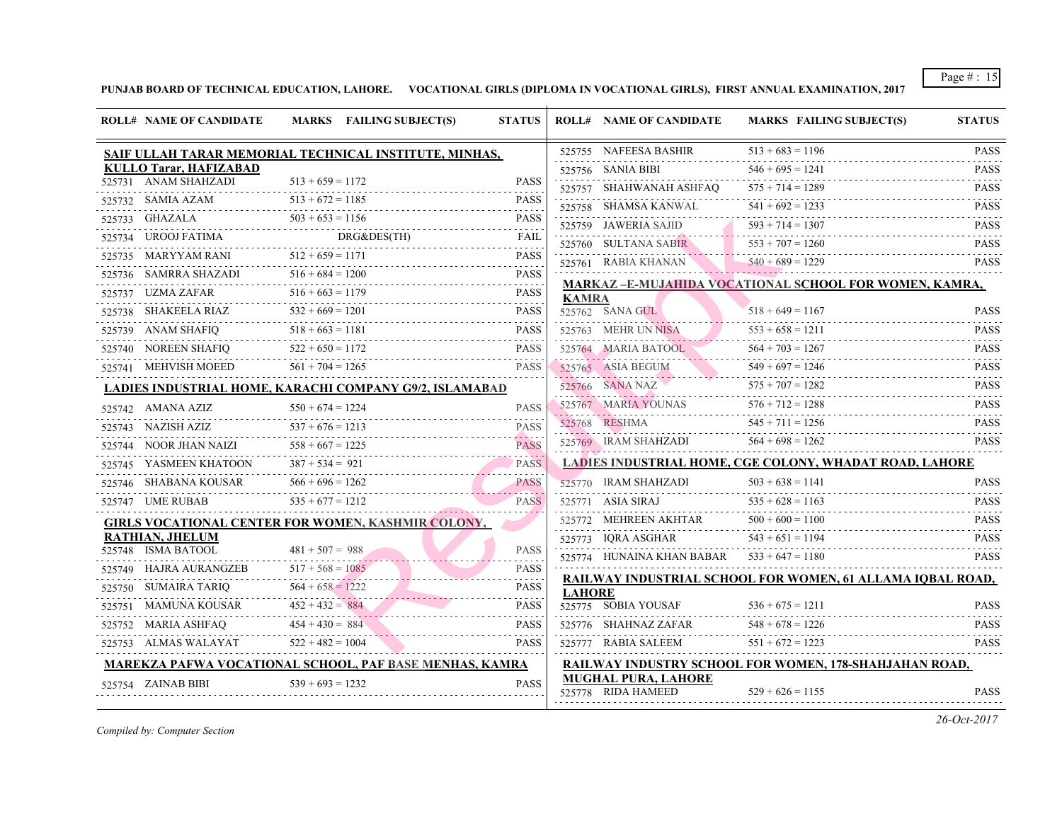|        | <b>ROLL# NAME OF CANDIDATE</b>          | MARKS FAILING SUBJECT(S)                                           | <b>STATUS</b>    |                                         | <b>ROLL# NAME OF CANDIDATE</b>                         | <b>MARKS FAIL</b>  |  |  |  |
|--------|-----------------------------------------|--------------------------------------------------------------------|------------------|-----------------------------------------|--------------------------------------------------------|--------------------|--|--|--|
|        |                                         | SAIF ULLAH TARAR MEMORIAL TECHNICAL INSTITUTE, MINHAS,             |                  |                                         | 525755 NAFEESA BASHIR                                  | $513 + 683 = 119$  |  |  |  |
|        | <b>KULLO Tarar, HAFIZABAD</b>           |                                                                    |                  |                                         | 525756 SANIA BIBI                                      | $546 + 695 = 124$  |  |  |  |
|        | 525731 ANAM SHAHZADI                    | $513 + 659 = 1172$                                                 | <b>PASS</b>      |                                         | 525757 SHAHWANAH ASHFAQ                                | $575 + 714 = 1289$ |  |  |  |
|        | 525732    SAMIA AZAM                    | $513 + 672 = 1185$<br>5732 SAMIA AZAM $513 + 672 = 1185$ PASS      |                  |                                         | 525758 SHAMSA KANWAL                                   | $541 + 692 = 123$  |  |  |  |
|        | 525733 GHAZALA                          | $4 \t 503 + 653 = 1156$ PAS                                        | <b>PASS</b>      |                                         | 525759 JAWERIA SAJID                                   | $593 + 714 = 130'$ |  |  |  |
|        |                                         | 525734 UROOJ FATIMA DRG&DES(TH) FAIL                               |                  |                                         | 525760 SULTANA SABIR                                   | $553 + 707 = 126$  |  |  |  |
|        | 525735 MARYYAM RANI $512 + 659 = 1171$  | $12 + 659 = 1171$ PASS                                             | <b>PASS</b>      |                                         | 525761 - RABIA KHANAN -                                | $540 + 689 = 1229$ |  |  |  |
|        |                                         | 525736 SAMRRA SHAZADI $516 + 684 = 1200$ PASS                      | <b>PASS</b>      | <b>MARKAZ-E-MUJAHIDA VOCATIONAL SCH</b> |                                                        |                    |  |  |  |
|        | 525737 UZMA ZAFAR                       | $516 + 663 = 1179$                                                 | PASS             | <b>KAMRA</b>                            |                                                        |                    |  |  |  |
|        |                                         | $532 + 669 = 1201$<br>525738 SHAKEELA RIAZ $532 + 669 = 1201$ PASS |                  |                                         | 525762 SANA GUL                                        | $518 + 649 = 116$  |  |  |  |
|        | 525739 ANAM SHAFIQ                      | $518 + 663 = 1181$ PASS                                            | <b>PASS</b>      |                                         | 525763 MEHR UN NISA                                    | $553 + 658 = 121$  |  |  |  |
|        | 525740 NOREEN SHAFIQ $522 + 650 = 1172$ |                                                                    | PASS             |                                         | 525764 MARIA BATOOL —                                  | $564 + 703 = 1261$ |  |  |  |
|        | 525741 MEHVISH MOEED                    | $561 + 704 = 1265$                                                 | <b>PASS</b>      |                                         | 525765 ASIA BEGUM 549 + 697 = 124<br>525765 ASIA BEGUM |                    |  |  |  |
|        |                                         | LADIES INDUSTRIAL HOME, KARACHI COMPANY G9/2, ISLAMABAD            |                  |                                         | 525766 SANA NAZ                                        | $575 + 707 = 1281$ |  |  |  |
|        | 525742 AMANA AZIZ                       | $550 + 674 = 1224$                                                 | <b>PASS</b>      |                                         | $525767$ MARIA YOUNAS $576 + 712$                      | $576 + 712 = 1281$ |  |  |  |
|        | 525743 NAZISH AZIZ                      | $537 + 676 = 1213$                                                 | <b>PASS</b>      |                                         | 525768 RESHMA :                                        | $545 + 711 = 125$  |  |  |  |
|        | 525744 NOOR JHAN NAIZI                  | $558 + 667 = 1225$                                                 | <b>PASS</b>      |                                         | 525769 IRAM SHAHZADI                                   | $564 + 698 = 1262$ |  |  |  |
|        | 525745 YASMEEN KHATOON                  | $387 + 534 = 921$<br>PASS                                          | . <u>.</u>       |                                         | LADIES INDUSTRIAL HOME, CGE COLONY,                    |                    |  |  |  |
|        | 525746 SHABANA KOUSAR                   | $566 + 696 = 1262$<br>$1 KOUSAR$ $566 + 696 = 1262$ PASS           | <b>PASS</b>      |                                         | 525770 IRAM SHAHZADI                                   | $503 + 638 = 114$  |  |  |  |
|        | 525747 UME RUBAB                        | $535 + 677 = 1212$                                                 | <b>PASS</b>      |                                         | 525771 ASIA SIRAJ                                      | $535 + 628 = 116$  |  |  |  |
|        |                                         | GIRLS VOCATIONAL CENTER FOR WOMEN, KASHMIR COLONY,                 |                  |                                         | 525772 MEHREEN AKHTAR                                  | $500 + 600 = 110$  |  |  |  |
|        | <b>RATHIAN, JHELUM</b>                  |                                                                    |                  |                                         | 525773 IORA ASGHAR                                     | $543 + 651 = 119$  |  |  |  |
|        | 525748 ISMA BATOOL                      | $481 + 507 = 988$                                                  | <b>PASS</b>      |                                         | 525774 HUNAINA KHAN BABAR $533 + 647 = 1180$           |                    |  |  |  |
|        | 525749 HAJRA AURANGZEB                  | $517 + 568 = 1085$                                                 | <b>PASS</b><br>. |                                         | <b>RAILWAY INDUSTRIAL SCHOOL FOR WOM</b>               |                    |  |  |  |
|        | 525750 SUMAIRA TARIQ                    | $564 + 658 = 1222$                                                 | <b>PASS</b>      | <b>LAHORE</b>                           |                                                        |                    |  |  |  |
| 525751 | MAMUNA KOUSAR                           | $452 + 432 = 884$                                                  | <b>PASS</b>      |                                         | 525775 SOBIA YOUSAF                                    | $536 + 675 = 121$  |  |  |  |
|        | 525752 MARIA ASHFAQ                     | $454 + 430 = 884$                                                  | <b>PASS</b>      |                                         | 525776 SHAHNAZ ZAFAR                                   | $548 + 678 = 122$  |  |  |  |
|        | 525753 ALMAS WALAYAT                    | $522 + 482 = 1004$                                                 | <b>PASS</b>      |                                         | 525777 RABIA SALEEM                                    | $551 + 672 = 122$  |  |  |  |
|        |                                         | MAREKZA PAFWA VOCATIONAL SCHOOL, PAF BASE MENHAS, KAMRA            |                  |                                         | RAILWAY INDUSTRY SCHOOL FOR WOMEN                      |                    |  |  |  |
|        | 525754 ZAINAB BIBI                      | $539 + 693 = 1232$                                                 | <b>PASS</b>      |                                         | <b>MUGHAL PURA, LAHORE</b><br>525778 RIDA HAMEED       | $529 + 626 = 115$  |  |  |  |
|        |                                         |                                                                    |                  |                                         |                                                        |                    |  |  |  |